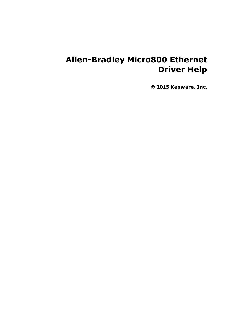# **Allen-Bradley Micro800 Ethernet Driver Help**

**© 2015 Kepware, Inc.**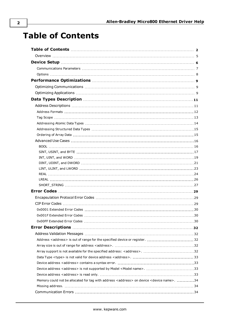# <span id="page-1-0"></span>**Table of Contents**

| Device address <address> is not supported by Model <model name="">. 33</model></address>                       |  |
|----------------------------------------------------------------------------------------------------------------|--|
| Memory could not be allocated for tag with address <address> on device <device name="">. 34</device></address> |  |
|                                                                                                                |  |
|                                                                                                                |  |
|                                                                                                                |  |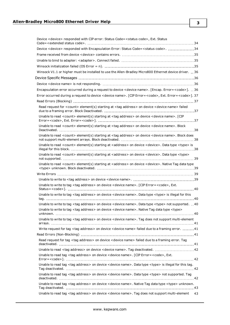| Device <device> responded with CIP error: Status Code=<status code="">, Ext. Status</status></device>                             |
|-----------------------------------------------------------------------------------------------------------------------------------|
| Device <device> responded with Encapsulation Error: Status Code=<status code="">. 34</status></device>                            |
|                                                                                                                                   |
|                                                                                                                                   |
|                                                                                                                                   |
| Winsock V1.1 or higher must be installed to use the Allen-Bradley Micro800 Ethernet device driver. 36                             |
|                                                                                                                                   |
|                                                                                                                                   |
| Encapsulation error occurred during a request to device <device name="">. [Encap. Error=<code>]. 36</code></device>               |
| Error occurred during a request to device < device name>. [CIP Error = < code>, Ext. Error = < code>]. 37                         |
|                                                                                                                                   |
| Read request for <count> element(s) starting at <tag address=""> on device <device name=""> failed</device></tag></count>         |
| Unable to read <count> element(s) starting at <tag address=""> on device <device name="">. [CIP</device></tag></count>            |
| Unable to read <count> element(s) starting at <tag address=""> on device <device name="">. Block</device></tag></count>           |
| Unable to read <count> element(s) starting at <tag address=""> on device <device name="">. Block does</device></tag></count>      |
| Unable to read <count> element(s) starting at <address> on device <device>. Data type <type> is</type></device></address></count> |
| Unable to read <count> element(s) starting at <address> on device <device>. Data type <type></type></device></address></count>    |
| Unable to read <count> element(s) starting at <address> on device <device>. Native Tag data type</device></address></count>       |
|                                                                                                                                   |
|                                                                                                                                   |
| Unable to write to tag <tag address=""> on device <device name="">. [CIP Error = <code>, Ext.</code></device></tag>               |
| Unable to write to tag <tag address=""> on device <device name="">. Data type <type> is illegal for this</type></device></tag>    |
| Unable to write to tag <tag address=""> on device <device name="">. Data type <type> not supported.40</type></device></tag>       |
| Unable to write to tag <tag address=""> on device <device name="">. Native Tag data type <type></type></device></tag>             |
| Unable to write to tag <tag address=""> on device <device name="">. Tag does not support multi-element</device></tag>             |
| Write request for tag <tag address=""> on device <device name=""> failed due to a framing error. 41</device></tag>                |
|                                                                                                                                   |
| Read request for tag <tag address=""> on device <device name=""> failed due to a framing error. Tag</device></tag>                |
|                                                                                                                                   |
| Unable to read tag <tag address=""> on device <device name="">. [CIP Error=<code>, Ext.</code></device></tag>                     |
| Unable to read tag <tag address=""> on device <device name="">. Data type <type> is illegal for this tag.</type></device></tag>   |
| Unable to read tag <tag address=""> on device <device name="">. Data type <type> not supported. Tag</type></device></tag>         |
| Unable to read tag <tag address=""> on device <device name="">. Native Tag data type <type> unknown.</type></device></tag>        |
| Unable to read tag <tag address=""> on device <device name="">. Tag does not support multi-element<br/>43</device></tag>          |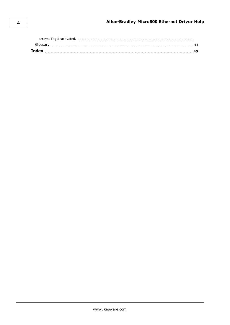| Glossarv |  |
|----------|--|
|          |  |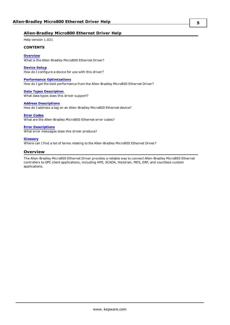### <span id="page-4-1"></span>**Allen-Bradley Micro800 Ethernet Driver Help**

Help version 1.021

### **CONTENTS**

### **[Overview](#page-4-0)**

What is the Allen-Bradley Micro800 Ethernet Driver?

#### **[Device](#page-5-0) Setup**

How do I configure a device for use with this driver?

### **Performance [Optimizations](#page-8-0)**

How do I get the best performance from the Allen-Bradley Micro800 Ethernet Driver?

#### **Data Types [Description](#page-10-0)**

What data types does this driver support?

#### **Address [Descriptions](#page-10-1)**

How do I address a tag on an Allen-Bradley Micro800 Ethernet device?

### **Error [Codes](#page-28-0)**

What are the Allen-Bradley Micro800 Ethernet error codes?

#### **Error [Descriptions](#page-31-0)**

What error messages does this driver produce?

#### **[Glossary](#page-43-0)**

<span id="page-4-0"></span>Where can I find a list of terms relating to the Allen-Bradley Micro800 Ethernet Driver?

### **Overview**

The Allen-Bradley Micro800 Ethernet Driver provides a reliable way to connect Allen-Bradley Micro800 Ethernet controllers to OPC client applications, including HMI, SCADA, Historian, MES, ERP, and countless custom applications.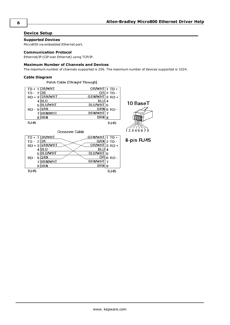### <span id="page-5-3"></span><span id="page-5-0"></span>**Device Setup**

## **Supported Devices**

<span id="page-5-2"></span>Micro850 via embedded Ethernet port.

### **Communication Protocol**

Ethernet/IP (CIP over Ethernet) using TCP/IP.

### **Maximum Number of Channels and Devices**

<span id="page-5-1"></span>The maximum number of channels supported is 256. The maximum number of devices supported is 1024.

### **Cable Diagram**

Patch Cable (Straight Through)

|             | OR/WHT         | $OR/MHT1$ TD + |               |
|-------------|----------------|----------------|---------------|
| TD -        | 2 OR           |                | $OR$ ] 2 TD - |
|             | RD + 3 GRN/WHT | <b>GRN/WHT</b> | $3$ RD +      |
|             | BLU            | BLU            | 4             |
|             | <b>BLU/WHT</b> | BLU/WHT        | 5             |
| RD -        | <b>GRN</b>     | GRN            | $6$ RD -      |
|             | <b>BRN/WHT</b> | <b>BRN/WHT</b> |               |
| 8           | BRN            | BRN            | 8             |
| <b>RJ45</b> |                |                | RJ45          |



| Crossover Cable |                    |              |  |
|-----------------|--------------------|--------------|--|
| $TD + 1$ OR/WHT | $GRN/MHT$ $1$ TD + |              |  |
| TD - $2$ OR     |                    | $GRN$ 2 TD - |  |
| RD + 3 GRN/WHT  | OR/WHT 3 RD +      |              |  |
| BLU             | BLU                | 4            |  |
| <b>BLU/WHT</b>  | BLU/WHT 5          |              |  |
| GRN<br>RD-      | OR                 | $6$ RD -     |  |
| <b>BRN/WHT</b>  | <b>BRN/WHT</b>     |              |  |
| BRN             | BRN                | 8            |  |
| <b>RJ45</b>     |                    | RJ45         |  |

8-pin RJ45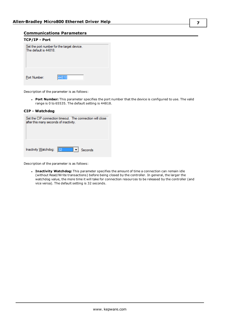### <span id="page-6-2"></span><span id="page-6-0"></span>**Communications Parameters**

| TCP/IP - Port                                                       |       |  |  |
|---------------------------------------------------------------------|-------|--|--|
| Set the port number for the target device.<br>The default is 44818. |       |  |  |
|                                                                     |       |  |  |
|                                                                     |       |  |  |
|                                                                     |       |  |  |
|                                                                     |       |  |  |
| Port Number:                                                        | 44818 |  |  |

Description of the parameter is as follows:

<sup>l</sup> **Port Number:** This parameter specifies the port number that the device is configured to use. The valid range is 0 to 65535. The default setting is 44818.

### **CIP - Watchdog**

| Set the CIP connection timeout. The connection will close<br>after this many seconds of inactivity. |  |  |  |  |
|-----------------------------------------------------------------------------------------------------|--|--|--|--|
| <br>Inactivity Watchdog:<br>Seconds                                                                 |  |  |  |  |

Description of the parameter is as follows:

<span id="page-6-1"></span><sup>l</sup> **Inactivity Watchdog:** This parameter specifies the amount of time a connection can remain idle (without Read/Write transactions) before being closed by the controller. In general, the larger the watchdog value, the more time it will take for connection resources to be released by the controller (and vice versa). The default setting is 32 seconds.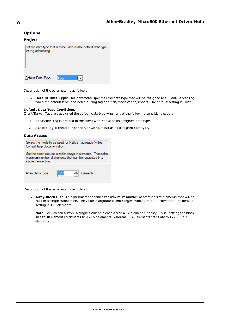### <span id="page-7-0"></span>**Options**

| Project             |                                                               |
|---------------------|---------------------------------------------------------------|
| for tag addressing. | Set the data type that is to be used as the default data type |
| Default Data Type:  |                                                               |

Description of the parameter is as follows:

<sup>l</sup> **Default Data Type:** This parameter specifies the data type that will be assigned to a Client/Server Tag when the default type is selected during tag addition/modification/import. The default setting is Float.

### **Default Data Type Conditions**

Client/Server Tags are assigned the default data type when any of the following conditions occur:

- 1. A Dynamic Tag is created in the client with Native as its assigned data type.
- 2. A Static Tag is created in the server with Default as its assigned data type.

### **Data Access**

| Select the mode to be used for Native Tag reads/writes.<br>Consult help documentation.                                                         |                       |  |  |  |
|------------------------------------------------------------------------------------------------------------------------------------------------|-----------------------|--|--|--|
| Set the block request size for arrays in elements. This is the<br>maximum number of elements that can be requested in a<br>single transaction. |                       |  |  |  |
|                                                                                                                                                |                       |  |  |  |
| Array Block Size:                                                                                                                              | 20<br><b>Flements</b> |  |  |  |

Description of the parameter is as follows:

<sup>l</sup> **Array Block Size:** This parameter specifies the maximum number of atomic array elements that will be read in a single transaction. The value is adjustable and ranges from 30 to 3840 elements. The default setting is 120 elements.

**Note:** For Boolean arrays, a single element is considered a 32 element bit array. Thus, setting the block size to 30 elements translates to 960 bit elements, whereas 3840 elements translate to 122880 bit elements.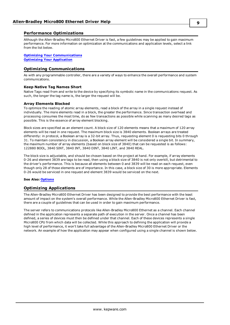### <span id="page-8-0"></span>**Performance Optimizations**

Although the Allen-Bradley Micro800 Ethernet Driver is fast, a few guidelines may be applied to gain maximum performance. For more information on optimization at the communications and application levels, select a link from the list below.

**Optimizing Your [Communications](#page-8-1) Optimizing Your [Application](#page-8-2)**

### <span id="page-8-1"></span>**Optimizing Communications**

As with any programmable controller, there are a variety of ways to enhance the overall performance and system communications.

### **Keep Native Tag Names Short**

Native Tags read from and write to the device by specifying its symbolic name in the communications request. As such, the longer the tag name is, the larger the request will be.

### **Array Elements Blocked**

To optimize the reading of atomic array elements, read a block of the array in a single request instead of individually. The more elements read in a block, the greater the performance. Since transaction overhead and processing consumes the most time, do as few transactions as possible while scanning as many desired tags as possible. This is the essence of array element blocking.

Block sizes are specified as an element count. A block size of 120 elements means that a maximum of 120 array elements will be read in one request. The maximum block size is 3840 elements. Boolean arrays are treated differently: in protocol, a Boolean array is a 32-bit array. Thus, requesting element 0 is requesting bits 0 through 31. To maintain consistency in discussion, a Boolean array element will be considered a single bit. In summary, the maximum number of array elements (based on block size of 3840) that can be requested is as follows: 122880 BOOL, 3840 SINT, 3840 INT, 3840 DINT, 3840 LINT, and 3840 REAL.

The block size is adjustable, and should be chosen based on the project at hand. For example, if array elements 0-26 and element 3839 are tags to be read, then using a block size of 3840 is not only overkill, but detrimental to the driver's performance. This is because all elements between 0 and 3839 will be read on each request, even though only 28 of those elements are of importance. In this case, a block size of 30 is more appropriate. Elements 0-26 would be serviced in one request and element 3839 would be serviced on the next.

#### <span id="page-8-2"></span>**See Also: [Options](#page-7-0)**

### **Optimizing Applications**

The Allen-Bradley Micro800 Ethernet Driver has been designed to provide the best performance with the least amount of impact on the system's overall performance. While the Allen-Bradley Micro800 Ethernet Driver is fast, there are a couple of guidelines that can be used in order to gain maximum performance.

The server refers to communications protocols like Allen-Bradley Micro800 Ethernet as a channel. Each channel defined in the application represents a separate path of execution in the server. Once a channel has been defined, a series of devices must then be defined under that channel. Each of these devices represents a single Micro800 CPU from which data will be collected. While this approach to defining the application will provide a high level of performance, it won't take full advantage of the Allen-Bradley Micro800 Ethernet Driver or the network. An example of how the application may appear when configured using a single channel is shown below.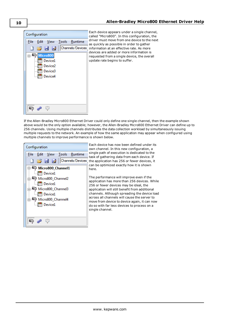

Each device appears under a single channel, called "Micro800". In this configuration, the driver must move from one device to the next as quickly as possible in order to gather information at an effective rate. As more devices are added or more information is requested from a single device, the overall update rate begins to suffer.

If the Allen-Bradley Micro800 Ethernet Driver could only define one single channel, then the example shown above would be the only option available; however, the Allen-Bradley Micro800 Ethernet Driver can define up to 256 channels. Using multiple channels distributes the data collection workload by simultaneously issuing multiple requests to the network. An example of how the same application may appear when configured using multiple channels to improve performance is shown below.

| Configuration                                                                                                                                                                                                                                                                 | Eao                                                                                        |
|-------------------------------------------------------------------------------------------------------------------------------------------------------------------------------------------------------------------------------------------------------------------------------|--------------------------------------------------------------------------------------------|
| Edit <u>V</u> iew Tools Runtime<br>File<br><b>B B Z</b> Channels/Devices<br>日 - Micro800_Channel1<br><b>Im</b> Device1<br>Micro800_Channel2<br><b>In Device1</b><br>். <mark>அ</mark> Micro800_Channel3<br><b>July Device1</b><br>Micro800_Channel4<br><b>Entitle Device1</b> | OW<br>sin<br>tas<br>the<br>car<br>her<br>The<br>apr<br>25<br>apr<br>cha<br>acr<br>mo<br>do |
| q,<br>6                                                                                                                                                                                                                                                                       | sin                                                                                        |

ch device has now been defined under its n channel. In this new configuration, a igle path of execution is dedicated to the k of gathering data from each device. If application has 256 or fewer devices, it n be optimized exactly how it is shown re.

e performance will improve even if the plication has more than 256 devices. While 6 or fewer devices may be ideal, the plication will still benefit from additional annels. Although spreading the device load ross all channels will cause the server to ove from device to device again, it can now so with far less devices to process on a igle channel.

**10**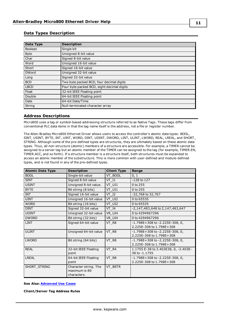### <span id="page-10-0"></span>**Data Types Description**

<span id="page-10-14"></span><span id="page-10-12"></span><span id="page-10-11"></span><span id="page-10-8"></span><span id="page-10-5"></span><span id="page-10-4"></span><span id="page-10-3"></span><span id="page-10-2"></span>

| Data Type    | <b>Description</b>                         |
|--------------|--------------------------------------------|
| Boolean      | Single bit                                 |
| <b>Byte</b>  | Unsigned 8-bit value                       |
| Char         | Signed 8-bit value                         |
| Word         | Unsigned 16-bit value                      |
| Short        | Signed 16-bit value                        |
| <b>DWord</b> | Unsigned 32-bit value                      |
| Long         | Signed 32-bit value                        |
| <b>BCD</b>   | Two byte packed BCD, four decimal digits   |
| <b>LBCD</b>  | Four byte packed BCD, eight decimal digits |
| Float        | 32-bit IEEE Floating point                 |
| Double       | 64-bit IEEE Floating point                 |
| Date         | 64-bit Date/Time                           |
| String       | Null-terminated character array            |

### <span id="page-10-13"></span><span id="page-10-10"></span><span id="page-10-9"></span><span id="page-10-7"></span><span id="page-10-6"></span><span id="page-10-1"></span>**Address Descriptions**

Micro800 uses a tag or symbol-based addressing structure referred to as Native Tags. These tags differ from conventional PLC data items in that the tag name itself is the address, not a file or register number.

The Allen-Bradley Micro800 Ethernet Driver allows users to access the controller's atomic data types: BOOL, SINT, USINT, BYTE, INT, UINT, WORD, DINT, UDINT, DWORD, LINT, ULINT, LWORD, REAL, LREAL, and SHORT\_ STRING. Although some of the pre-defined types are structures, they are ultimately based on these atomic data types. Thus, all non-structure (atomic) members of a structure are accessible. For example, a TIMER cannot be assigned to a server tag but an atomic member of the TIMER can be assigned to the tag (for example, TIMER.EN, TIMER.ACC, and so forth). If a structure member is a structure itself, both structures must be expanded to access an atomic member of the substructure. This is more common with user-defined and module-defined types, and is not found in any of the pre-defined types.

| <b>Atomic Data Type</b> | <b>Description</b>                                    | <b>Client Type</b> | Range                                                           |
|-------------------------|-------------------------------------------------------|--------------------|-----------------------------------------------------------------|
| <b>BOOL</b>             | Single-bit value                                      | VT BOOL            | 0, 1                                                            |
| <b>SINT</b>             | Signed 8-bit value                                    | $VT$ $I1$          | $-128$ to 127                                                   |
| <b>USINT</b>            | Unsigned 8-bit value.                                 | VT UI1             | 0 to 255                                                        |
| <b>BYTE</b>             | Bit string (8 bits)                                   | VT UI1             | 0 to 255                                                        |
| <b>INT</b>              | Signed 16-bit value                                   | VT I2              | -32,768 to 32,767                                               |
| <b>UINT</b>             | Unsigned 16-bit value                                 | VT UI2             | 0 to 65535                                                      |
| <b>WORD</b>             | Bit string (16 bits)                                  | VT UI2             | 0 to 65535                                                      |
| <b>DINT</b>             | Signed 32-bit value                                   | VT 14              | -2,147,483,648 to 2,147,483,647                                 |
| <b>UDINT</b>            | Unsigned 32-bit value                                 | VR UI4             | 0 to 4294967296                                                 |
| <b>DWORD</b>            | Bit string (32 bits)                                  | VR UI4             | 0 to 4294967296                                                 |
| <b>LINT</b>             | Signed 64-bit value                                   | VT R8              | $-1.798E+308$ to $-2.225E-308$ , 0,<br>2.225E-308 to 1.798E+308 |
| <b>ULINT</b>            | Unsigned 64-bit value                                 | VT R8              | $-1.798E+308$ to $-2.225E-308$ , 0,<br>2.225E-308 to 1.798E+308 |
| <b>LWORD</b>            | Bit string (64 bits)                                  | VT_R8              | $-1.798E+308$ to $-2.225E-308$ , 0,<br>2.225E-308 to 1.798E+308 |
| <b>REAL</b>             | 32-bit IEEE Floating<br>point                         | VT_R4              | 1.1755 E-38 to 3.403E38, 0, -3.403E-<br>38 to -1.1755           |
| <b>LREAL</b>            | 64-bit IEEE Floating<br>point                         | VT R8              | $-1.798E+308$ to $-2.225E-308$ , 0,<br>2.225E-308 to 1.798E+308 |
| SHORT_STRING            | Character string. The<br>maximum is 80<br>characters. | VT BSTR            |                                                                 |

#### **See Also: [Advanced](#page-15-0) Use Cases**

**Client/Server Tag Address Rules**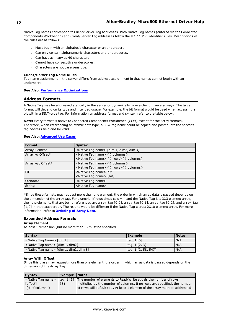Native Tag names correspond to Client/Server Tag addresses. Both Native Tag names (entered via the Connected Components Workbench) and Client/Server Tag addresses follow the IEC 1131-3 identifier rules. Descriptions of the rules are as follows:

- Must begin with an alphabetic character or an underscore.
- Can only contain alphanumeric characters and underscores.
- Can have as many as 40 characters.
- Cannot have consecutive underscores.
- Characters are not case sensitive.

#### **Client/Server Tag Name Rules**

Tag name assignment in the server differs from address assignment in that names cannot begin with an underscore.

#### <span id="page-11-0"></span>**See Also: Performance [Optimizations](#page-8-0)**

### **Address Formats**

A Native Tag may be addressed statically in the server or dynamically from a client in several ways. The tag's format will depend on its type and intended usage. For example, the bit format would be used when accessing a bit within a SINT-type tag. For information on address format and syntax, refer to the table below.

**Note:** Every format is native to Connected Components Workbench (CCW) except for the Array formats. Therefore, when referencing an atomic data type, a CCW tag name could be copied and pasted into the server's tag address field and be valid.

### **See Also: [Advanced](#page-15-0) Use Cases**

| <b>Format</b>        | <b>Syntax</b>                                                         |
|----------------------|-----------------------------------------------------------------------|
| <b>Array Element</b> | <native name="" tag=""> [dim 1, dim2, dim 3]</native>                 |
| Array w/ Offset*     | <native name="" tag=""> {# columns}</native>                          |
|                      | <native name="" tag=""> {# rows} {# columns}</native>                 |
| Array w/o Offset*    | <native name="" tag=""> {# columns}</native>                          |
|                      | <native name="" tag=""> <math>\{ # rows\}</math> {# columns}</native> |
| Bit                  | <native name="" tag="">.bit</native>                                  |
|                      | <native name="" tag=""> [bit]</native>                                |
| Standard             | <native name="" tag=""></native>                                      |
| String               | <native name="" tag=""></native>                                      |

\*Since these formats may request more than one element, the order in which array data is passed depends on the dimension of the array tag. For example, if rows times cols = 4 and the Native Tag is a 3X3 element array, then the elements that are being referenced are array\_tag [0,0], array\_tag [0,1], array\_tag [0,2], and array\_tag [1,0] in that exact order. The results would be different if the Native Tag were a 2X10 element array. For more information, refer to **[Ordering](#page-14-1) of Array Data**.

### **Expanded Address Formats**

#### **Array Element**

At least 1 dimension (but no more then 3) must be specified.

| <b>Syntax</b>                                         | <b>Example</b>                                         | <b>Notes</b> |
|-------------------------------------------------------|--------------------------------------------------------|--------------|
| <native name="" tag=""> [dim1]</native>               | $\vert$ tag 1 [5]                                      | N/A          |
| <native name="" tag=""> [dim 1, dim2]</native>        | $\begin{bmatrix} \text{tag} 1 \\ 2 \\ 3 \end{bmatrix}$ | N/A          |
| <native name="" tag=""> [dim 1, dim2, dim 3]</native> | tag 1 [2, 58, 547]                                     | N/A          |

#### **Array With Offset**

Since this class may request more than one element, the order in which array data is passed depends on the dimension of the Array Tag.

| <b>Syntax</b>                                                                           | <b>Example</b> | <b>Notes</b>                                                                                                                                                                                                                             |
|-----------------------------------------------------------------------------------------|----------------|------------------------------------------------------------------------------------------------------------------------------------------------------------------------------------------------------------------------------------------|
| <native name="" tag=""><br/>[offset]<br/><math>\{# \text{ of columns}\}</math></native> | ${8}$          | $tag_1$ [5] The number of elements to Read/Write equals the number of rows<br>multiplied by the number of columns. If no rows are specified, the number<br>of rows will default to 1. At least 1 element of the array must be addressed. |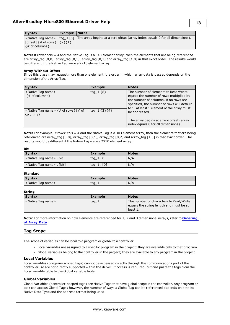| <b>Syntax</b>                                                                                                    | Example   Notes |                                                                                                               |
|------------------------------------------------------------------------------------------------------------------|-----------------|---------------------------------------------------------------------------------------------------------------|
| $\lceil$ [offset] {# of rows} $\lceil$ {2} {4}<br>$\left\vert \left\{ \text{\# of columns} \right\} \right\vert$ |                 | < Native Tag name>   tag_1 [5]   The array begins at a zero offset (array index equals 0 for all dimensions). |

**Note:** If rows\*cols = 4 and the Native Tag is a 3X3 element array, then the elements that are being referenced are array\_tag [0,0], array\_tag [0,1], array\_tag [0,2] and array\_tag [1,0] in that exact order. The results would be different if the Native Tag were a 2X10 element array.

#### **Array Without Offset**

Since this class may request more than one element, the order in which array data is passed depends on the dimension of the Array Tag.

| <b>Syntax</b>                                                                                   | <b>Example</b>        | <b>Notes</b>                                                                                                                      |
|-------------------------------------------------------------------------------------------------|-----------------------|-----------------------------------------------------------------------------------------------------------------------------------|
| <native name="" tag=""><br/><math>\{# \text{ of columns}\}</math></native>                      | $\text{tag } 1 \{8\}$ | The number of elements to Read/Write<br>equals the number of rows multiplied by                                                   |
|                                                                                                 |                       | the number of columns. If no rows are<br>specified, the number of rows will default<br>to 1. At least 1 element of the array must |
| <native name="" tag=""> <math>\{ # \text{ of rows}\}\</math><br/><math>columns</math>}</native> | tag $1\{2\}\{4\}$     | be addressed.                                                                                                                     |
|                                                                                                 |                       | The array begins at a zero offset (array<br>index equals 0 for all dimensions).                                                   |

**Note:** For example, if rows\*cols = 4 and the Native Tag is a 3X3 element array, then the elements that are being referenced are array\_tag [0,0], array\_tag [0,1], array\_tag [0,2] and array\_tag [1,0] in that exact order. The results would be different if the Native Tag were a 2X10 element array.

### **Bit**

| <b>Syntax</b>                            | Example    | <b>Notes</b> |
|------------------------------------------|------------|--------------|
| <native name="" tag=""> . bit</native>   | tag $1.0$  | N/A          |
| <native name="" tag=""> . [bit]</native> | taq 1. [0] | N/A          |

### **Standard**

| <b>Syntax</b>                    | Example | <b>Notes</b> |
|----------------------------------|---------|--------------|
| <native name="" tag=""></native> | ' tag_i | N/A          |

### **String**

| <b>Syntax</b>                    | Example | <b>Notes</b>                                                                      |
|----------------------------------|---------|-----------------------------------------------------------------------------------|
| <native name="" tag=""></native> | tag 1   | The number of characters to Read/Write<br>equals the string length and must be at |
|                                  |         | ' least 1.                                                                        |

**Note:** For more information on how elements are referenced for 1, 2 and 3 dimensional arrays, refer to **[Ordering](#page-14-1) of [Array](#page-14-1) Data**.

### <span id="page-12-0"></span>**Tag Scope**

The scope of variables can be local to a program or global to a controller.

- <sup>l</sup> Local variables are assigned to a specific program in the project; they are available only to that program.
- <sup>l</sup> Global variables belong to the controller in the project; they are available to any program in the project.

#### <span id="page-12-2"></span>**Local Variables**

Local variables (program-scoped tags) cannot be accessed directly through the communications port of the controller, so are not directly supported within the driver. If access is required, cut and paste the tags from the Local variable table to the Global variable table.

#### <span id="page-12-1"></span>**Global Variables**

Global Variables (controller-scoped tags) are Native Tags that have global scope in the controller. Any program or task can access Global Tags; however, the number of ways a Global Tag can be referenced depends on both its Native Data Type and the address format being used.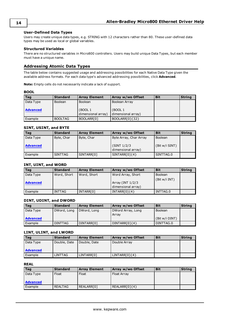### <span id="page-13-2"></span>**User-Defined Data Types**

Users may create unique data types, e.g. STRING with 12 characters rather than 80. These user-defined data types may be used as local or global variables.

### <span id="page-13-1"></span>**Structured Variables**

There are no structured variables in Micro800 controllers. Users may build unique Data Types, but each member must have a unique name.

### <span id="page-13-0"></span>**Addressing Atomic Data Types**

The table below contains suggested usage and addressing possibilities for each Native Data Type given the available address formats. For each data type's advanced addressing possibilities, click **Advanced**.

**Note:** Empty cells do not necessarily indicate a lack of support.

#### **BOOL**

| Tag             | <b>Standard</b> | <b>Array Element</b>          | Array w/wo Offset             | <b>Bit</b> | <b>String</b> |
|-----------------|-----------------|-------------------------------|-------------------------------|------------|---------------|
| Data Type       | <b>Boolean</b>  | Boolean                       | Boolean Array                 |            |               |
| <b>Advanced</b> |                 | (BOOL 1<br>dimensional array) | (BOOL 1<br>dimensional array) |            |               |
| Example         | <b>BOOLTAG</b>  | BOOLARR[0]                    | BOOLARR[0]{32}                |            |               |

#### **SINT, USINT, and BYTE**

| Tag             | <b>Standard</b> | <b>Array Element</b> | Array w/wo Offset                  | <b>Bit</b>     | <b>String</b> |
|-----------------|-----------------|----------------------|------------------------------------|----------------|---------------|
| Data Type       | Byte, Char      | Byte, Char           | Byte Array, Char Array             | <b>Boolean</b> |               |
| <b>Advanced</b> |                 |                      | (SINT 1/2/3)<br>dimensional array) | (Bit w/i SINT) |               |
| Example         | <b>SINTTAG</b>  | SINTARR[0]           | $SINTARR[0]{4}$                    | SINTTAG.0      |               |

### **INT, UINT, and WORD**

| <b>Tag</b>      | <b>Standard</b> | <b>Array Element</b> | Array w/wo Offset                      | <b>Bit</b>     | <b>String</b> |
|-----------------|-----------------|----------------------|----------------------------------------|----------------|---------------|
| Data Type       | Word, Short     | Word, Short          | Word Array, Short                      | <b>Boolean</b> |               |
| <b>Advanced</b> |                 |                      | Array (INT 1/2/3<br>dimensional array) | (Bit w/i INT)  |               |
| Example         | <b>INTTAG</b>   | INTARR[0]            | $INTARR[0]\{4\}$                       | INTTAG.0       |               |

### **DINT, UDINT, and DWORD**

| Tag             | <b>Standard</b> | <b>Array Element</b> | Array w/wo Offset          | <b>Bit</b>     | <b>String</b> |
|-----------------|-----------------|----------------------|----------------------------|----------------|---------------|
| Data Type       | DWord, Long     | DWord, Long          | DWord Array, Long<br>Arrav | Boolean        |               |
| <b>Advanced</b> |                 |                      |                            | (Bit w/i DINT) |               |
| Example         | <b>DINTTAG</b>  | DINTARR[0]           | $DINTARR[0]{4}$            | DINTTAG.0      |               |

### **LINT, ULINT, and LWORD**

| Tag             | <b>Standard</b> | <b>Array Element</b> | Array w/wo Offset | <b>Bit</b> | <b>String</b> |
|-----------------|-----------------|----------------------|-------------------|------------|---------------|
| Data Type       | Double, Date    | Double, Date         | Double Array      |            |               |
| <b>Advanced</b> |                 |                      |                   |            |               |
| Example         | LINTTAG         | LINTARR[0]           | $LINTARR[0]{4}$   |            |               |

### **REAL**

| Tag             | <b>Standard</b> | <b>Array Element</b> | Array w/wo Offset | <b>Bit</b> | <b>String</b> |
|-----------------|-----------------|----------------------|-------------------|------------|---------------|
| Data Type       | Float           | Float                | Float Array       |            |               |
|                 |                 |                      |                   |            |               |
| <b>Advanced</b> |                 |                      |                   |            |               |
| Example         | REALTAG         | REALARR[0]           | $REALARR[0]{4}$   |            |               |

#### **14**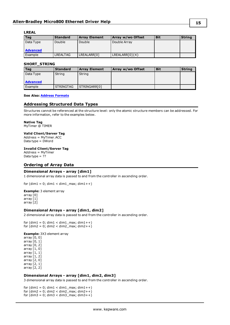### **LREAL**

| Taq             | <b>Standard</b> | <b>Array Element</b> | Array w/wo Offset | <b>Bit</b> | <b>String</b> |
|-----------------|-----------------|----------------------|-------------------|------------|---------------|
| Data Type       | Double          | Double               | Double Array      |            |               |
|                 |                 |                      |                   |            |               |
| <b>Advanced</b> |                 |                      |                   |            |               |
| Example         | LREALTAG        | LREALARR[0]          | $LREALARR[0]{4}$  |            |               |

### **SHORT\_STRING**

| Tag             | <b>Standard</b>  | <b>Array Element</b> | Array w/wo Offset | <b>Bit</b> | <b>String</b> |
|-----------------|------------------|----------------------|-------------------|------------|---------------|
| Data Type       | String           | String               |                   |            |               |
|                 |                  |                      |                   |            |               |
| <b>Advanced</b> |                  |                      |                   |            |               |
| Example         | <b>STRINGTAG</b> | STRINGARR[0]         |                   |            |               |

### <span id="page-14-0"></span>**See Also: Address [Formats](#page-11-0)**

### **Addressing Structured Data Types**

Structures cannot be referenced at the structure level: only the atomic structure members can be addressed. For more information, refer to the examples below.

#### **Native Tag**

MyTimer @ TIMER

#### **Valid Client/Server Tag**

Address = MyTimer.ACC Data type = DWord

#### **Invalid Client/Server Tag**

Address = MyTimer Data type  $=$  ??

### <span id="page-14-1"></span>**Ordering of Array Data**

### **Dimensional Arrays - array [dim1]**

1 dimensional array data is passed to and from the controller in ascending order.

for  $(dim1 = 0; dim1 < dim1$ <sub>\_</sub>max;  $dim1++)$ 

**Example:** 3 element array

array [0] array [1] array [2]

### **Dimensional Arrays - array [dim1, dim2]**

2 dimensional array data is passed to and from the controller in ascending order.

for  $(dim1 = 0; dim1 < dim1$ \_max;  $dim1++)$ for  $(dim2 = 0; dim2 < dim2_{max}; dim2++)$ 

#### **Example:** 3X3 element array

array [0, 0] array [0, 1] array [0, 2] array [1, 0] array [1, 1] array [1, 2] array [2, 0] array [2, 1] array [2, 2]

#### **Dimensional Arrays - array [dim1, dim2, dim3]**

3 dimensional array data is passed to and from the controller in ascending order.

for  $(dim1 = 0; dim1 < dim1$ \_max;  $dim1++$ ) for  $(dim2 = 0; dim2 < dim2 max; dim2++)$ for  $(dim3 = 0; dim3 < dim3_{max}; dim3++)$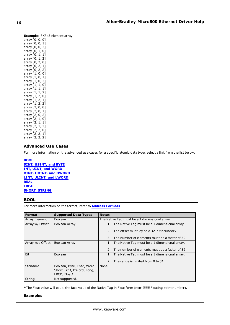**Example:** 3X3x3 element array array [0, 0, 0] array [0, 0, 1] array [0, 0, 2] array [0, 1, 0] array [0, 1, 1] array [0, 1, 2] array [0, 2, 0] array [0, 2, 1] array [0, 2, 2] array [1, 0, 0] array [1, 0, 1] array [1, 0, 2] array [1, 1, 0] array [1, 1, 1] array [1, 1, 2] array [1, 2, 0] array [1, 2, 1] array [1, 2, 2] array [2, 0, 0] array [2, 0, 1] array [2, 0, 2] array [2, 1, 0] array [2, 1, 1] array [2, 1, 2] array [2, 2, 0] array [2, 2, 1]

### **Advanced Use Cases**

<span id="page-15-0"></span>array [2, 2, 2]

For more information on the advanced use cases for a specific atomic data type, select a link from the list below.

**[BOOL](#page-15-1) SINT, [USINT,](#page-16-0) and BYTE INT, UINT, and [WORD](#page-18-0) DINT, UDINT, and [DWORD](#page-20-0) LINT, ULINT, and [LWORD](#page-22-0) [REAL](#page-23-0) [LREAL](#page-25-0) [SHORT\\_STRING](#page-26-0)**

### <span id="page-15-1"></span>**BOOL**

For more information on the format, refer to **Address [Formats](#page-11-0)**.

| <b>Format</b>    | <b>Supported Data Types</b>                                            | <b>Notes</b>                                         |
|------------------|------------------------------------------------------------------------|------------------------------------------------------|
| Array Element    | <b>Boolean</b>                                                         | The Native Tag must be a 1 dimensional array.        |
| Array w/ Offset  | Boolean Array                                                          | 1. The Native Tag must be a 1 dimensional array.     |
|                  |                                                                        | 2. The offset must lay on a 32-bit boundary.         |
|                  |                                                                        | The number of elements must be a factor of 32.<br>3. |
| Array w/o Offset | Boolean Array                                                          | 1. The Native Tag must be a 1 dimensional array.     |
|                  |                                                                        | 2. The number of elements must be a factor of 32.    |
| <b>Bit</b>       | <b>Boolean</b>                                                         | 1. The Native Tag must be a 1 dimensional array.     |
|                  |                                                                        | 2. The range is limited from 0 to 31.                |
| Standard         | Boolean, Byte, Char, Word,<br>Short, BCD, DWord, Long,<br>LBCD, Float* | None                                                 |
| String           | Not supported.                                                         |                                                      |

**\***The Float value will equal the face value of the Native Tag in Float form (non-IEEE Floating point number).

#### **Examples**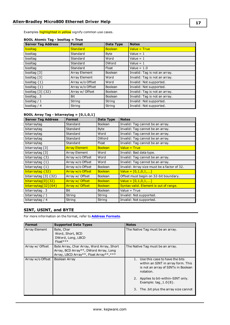Examples **highlighted in yellow** signify common use cases.

| <b>Server Tag Address</b> | <b>Format</b>    | Data Type      | <b>Notes</b>                  |
|---------------------------|------------------|----------------|-------------------------------|
| booltag                   | <b>Standard</b>  | <b>Boolean</b> | Value = $True$                |
| booltag                   | Standard         | <b>Byte</b>    | Value = $1$                   |
| booltag                   | Standard         | Word           | Value = $1$                   |
| booltag                   | Standard         | <b>DWord</b>   | Value = $1$                   |
| booltag                   | Standard         | Float          | Value = $1.0$                 |
| booltag [3]               | Array Element    | <b>Boolean</b> | Invalid: Tag is not an array. |
| booltag [3]               | Array Element    | Word           | Invalid: Tag is not an array. |
| booltag $\{1\}$           | Array w/o Offset | Word           | Invalid: Not supported.       |
| booltag $\{1\}$           | Array w/o Offset | <b>Boolean</b> | Invalid: Not supported.       |
| booltag [3] {32}          | Array w/ Offset  | <b>Boolean</b> | Invalid: Tag is not an array. |
| booltag. 3                | <b>Bit</b>       | <b>Boolean</b> | Invalid: Tag is not an array. |
| booltag $/1$              | String           | String         | Invalid: Not supported.       |
| booltag / 4               | String           | String         | Invalid: Not supported.       |

### **BOOL Atomic Tag - booltag = True**

### **BOOL Array Tag - bitarraytag = [0,1,0,1]**

| <b>Server Tag Address</b>          | <b>Format</b>        | Data Type      | <b>Notes</b>                                |
|------------------------------------|----------------------|----------------|---------------------------------------------|
| bitarraytag                        | Standard             | <b>Boolean</b> | Invalid: Tag cannot be an array.            |
| bitarraytag                        | Standard             | <b>Byte</b>    | Invalid: Tag cannot be an array.            |
| bitarraytag                        | Standard             | Word           | Invalid: Tag cannot be an array.            |
| bitarraytag                        | Standard             | <b>DWord</b>   | Invalid: Tag cannot be an array.            |
| bitarraytag                        | Standard             | Float          | Invalid: Tag cannot be an array.            |
| bitarraytag [3]                    | <b>Array Element</b> | <b>Boolean</b> | $Value = True$                              |
| bitarraytag [3]                    | Array Element        | Word           | Invalid: Bad data type.                     |
| bitarraytag $\{3\}$                | Array w/o Offset     | Word           | Invalid: Tag cannot be an array.            |
| bitarraytag $\{1\}$                | Array w/o Offset     | Word           | Invalid: Tag cannot be an array.            |
| bitarraytag $\{1\}$                | Array w/o Offset     | <b>Boolean</b> | Invalid: Array size must be a factor of 32. |
| bitarraytag $\{32\}$               | Array w/o Offset     | <b>Boolean</b> | Value = $[0,1,0,1,]$                        |
| bitarraytag $\lceil 3 \rceil$ {32} | Array w/ Offset      | <b>Boolean</b> | Offset must begin on 32-bit boundary.       |
| bitarraytag[0]{32}                 | Array w/ Offset      | <b>Boolean</b> | Value = $[0,1,0,1,]$                        |
| $bitarraytag[32]\{64\}$            | Array w/ Offset      | <b>Boolean</b> | Syntax valid. Element is out of range.      |
| bitarraytag. 3                     | <b>Bit</b>           | <b>Boolean</b> | Value = True                                |
| bitarraytag $/1$                   | String               | String         | Invalid: Not supported.                     |
| bitarraytag / 4                    | String               | String         | Invalid: Not supported.                     |

### <span id="page-16-0"></span>**SINT, USINT, and BYTE**

For more information on the format, refer to **Address [Formats](#page-11-0)**.

| <b>Format</b>    | <b>Supported Data Types</b>                                                                                                   | <b>Notes</b>                                                                                                                                                    |
|------------------|-------------------------------------------------------------------------------------------------------------------------------|-----------------------------------------------------------------------------------------------------------------------------------------------------------------|
| Array Element    | Byte, Char<br>Word, Short, BCD<br>DWord, Long, LBCD<br>$Float***$                                                             | The Native Tag must be an array.                                                                                                                                |
| Array w/ Offset  | Byte Array, Char Array, Word Array, Short<br>Array, BCD Array**, DWord Array, Long<br>Array, LBCD Array**, Float Array**, *** | The Native Tag must be an array.                                                                                                                                |
| Array w/o Offset | Boolean Array                                                                                                                 | Use this case to have the bits<br>within an SINT in array form. This<br>is not an array of SINTs in Boolean<br>notation.<br>2. Applies to bit-within-SINT only. |
|                  |                                                                                                                               | Example: tag $1.0\{8\}$ .<br>The .bit plus the array size cannot<br>3.                                                                                          |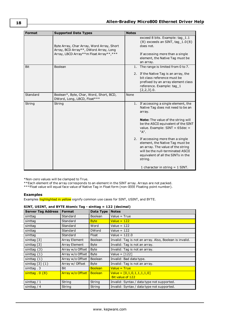| <b>Format</b> | <b>Supported Data Types</b>                                                                                                   | <b>Notes</b>                                                                                                                                                                                     |
|---------------|-------------------------------------------------------------------------------------------------------------------------------|--------------------------------------------------------------------------------------------------------------------------------------------------------------------------------------------------|
|               | Byte Array, Char Array, Word Array, Short<br>Array, BCD Array**, DWord Array, Long<br>Array, LBCD Array**m Float Array**, *** | exceed 8 bits. Example: tag_1.1<br>$\{8\}$ exceeds an SINT, tag_1.0 $\{8\}$<br>does not.<br>If accessing more than a single<br>element, the Native Tag must be<br>an array.                      |
| <b>Bit</b>    | Boolean                                                                                                                       | 1. The range is limited from 0 to 7.<br>2. If the Native Tag is an array, the<br>bit class reference must be<br>prefixed by an array element class<br>reference. Example: tag_1<br>$[2,2,3]$ .0. |
| Standard      | Boolean*, Byte, Char, Word, Short, BCD,<br>DWord, Long, LBCD, Float***                                                        | None                                                                                                                                                                                             |
| String        | String                                                                                                                        | 1. If accessing a single element, the<br>Native Tag does not need to be an<br>array.                                                                                                             |
|               |                                                                                                                               | <b>Note:</b> The value of the string will<br>be the ASCII equivalent of the SINT<br>value. Example: $SINT = 65dec =$<br>"A".                                                                     |
|               |                                                                                                                               | 2. If accessing more than a single<br>element, the Native Tag must be<br>an array. The value of the string<br>will be the null-terminated ASCII<br>equivalent of all the SINTs in the<br>string. |
|               |                                                                                                                               | 1 character in string $=$ 1 SINT.                                                                                                                                                                |

\*Non-zero values will be clamped to True.

\*\*Each element of the array corresponds to an element in the SINT array. Arrays are not packed.

\*\*\*Float value will equal face value of Native Tag in Float form (non-IEEE Floating point number).

### **Examples**

Examples highlighted in yellow signify common use cases for SINT, USINT, and BYTE.

### **SINT, USINT, and BYTE Atomic Tag - sinttag = 122 (decimal)**

| <b>Server Tag Address</b> | <b>Format</b>    | Data Type      | <b>Notes</b>                                            |
|---------------------------|------------------|----------------|---------------------------------------------------------|
| sinttag                   | Standard         | <b>Boolean</b> | Value = True                                            |
| sinttag                   | Standard         | <b>Byte</b>    | Value = $122$                                           |
| sinttag                   | Standard         | Word           | Value = $122$                                           |
| sinttag                   | Standard         | <b>DWord</b>   | Value = $122$                                           |
| sinttag                   | Standard         | Float          | Value = $122.0$                                         |
| sinttag $[3]$             | Array Element    | <b>Boolean</b> | Invalid: Tag is not an array. Also, Boolean is invalid. |
| sinttag [3]               | Array Element    | <b>Byte</b>    | Invalid: Tag is not an array.                           |
| sinttag $\{3\}$           | Array w/o Offset | <b>Byte</b>    | Invalid: Tag is not an array.                           |
| sinttag $\{1\}$           | Array w/o Offset | <b>Byte</b>    | Value = $[122]$                                         |
| sinttag $\{1\}$           | Array w/o Offset | Boolean        | Invalid: Bad data type.                                 |
| sinttag $[3]$ $\{1\}$     | Array w/ Offset  | <b>Byte</b>    | Invalid: Tag is not an array.                           |
| sinttag. $3$              | <b>Bit</b>       | <b>Boolean</b> | Value = $True$                                          |
| $sinttag .0 {8}$          | Array w/o Offset | <b>Boolean</b> | $Value = [0,1,0,1,1,1,1,0]$                             |
|                           |                  |                | Bit value of 122                                        |
| sinttag $/1$              | String           | String         | Invalid: Syntax / data type not supported.              |
| sinttag $/4$              | String           | String         | Invalid: Syntax / data type not supported.              |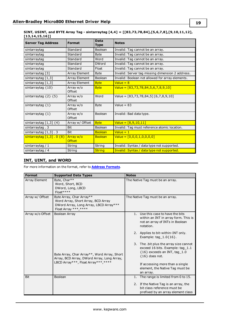### **SINT, USINT, and BYTE Array Tag - sintarraytag [4,4] = [[83,73,78,84],[5,6,7,8],[9,10,11,12], [13,14,15,16]]**

| <b>Server Tag Address</b>    | <b>Format</b>              | <b>Data</b><br><b>Type</b> | <b>Notes</b>                                     |
|------------------------------|----------------------------|----------------------------|--------------------------------------------------|
| sintarraytag                 | Standard                   | <b>Boolean</b>             | Invalid: Tag cannot be an array.                 |
| sintarraytag                 | Standard                   | <b>Byte</b>                | Invalid: Tag cannot be an array.                 |
| sintarraytag                 | Standard                   | Word                       | Invalid: Tag cannot be an array.                 |
| sintarraytag                 | Standard                   | <b>DWord</b>               | Invalid: Tag cannot be an array.                 |
| sintarraytag                 | Standard                   | Float                      | Invalid: Tag cannot be an array.                 |
| sintarraytag [3]             | Array Element              | <b>Byte</b>                | Invalid: Server tag missing dimension 2 address. |
| sintarraytag [1,3]           | <b>Array Element</b>       | Boolean                    | Invalid: Boolean not allowed for array elements. |
| sintarraytag $[1,3]$         | Array Element              | <b>Byte</b>                | Value = $8$                                      |
| sintarraytag ${10}$          | Array w/o<br>Offset        | <b>Byte</b>                | Value = $[83,73,78,84,5,6,7,8,9,10]$             |
| sintarraytag $\{2\}$ $\{5\}$ | Array w/o<br>Offset        | Word                       | Value = $[83,73,78,84,5]$ $[6,7,8,9,10]$         |
| sintarraytag $\{1\}$         | Array w/o<br>Offset        | <b>Byte</b>                | Value = $83$                                     |
| sintarraytag $\{1\}$         | Array w/o<br>Offset        | <b>Boolean</b>             | Invalid: Bad data type.                          |
| sintarraytag $[1,3]$ $\{4\}$ | Array w/ Offset            | <b>Byte</b>                | Value = $[8,9,10,11]$                            |
| sintarraytag. 3              | <b>Bit</b>                 | Boolean                    | Invalid: Tag must reference atomic location.     |
| sintarraytag $[1,3]$ . 3     | <b>Bit</b>                 | <b>Boolean</b>             | Value = $1$                                      |
| sintarraytag [1,3] . 0 {8}   | Array w/o<br><b>Offset</b> | <b>Boolean</b>             | Value = $[0,0,0,1,0,0,0,0]$                      |
| sintarraytag / 1             | String                     | String                     | Invalid: Syntax / data type not supported.       |
| sintarraytag / 4             | String                     | <b>String</b>              | Invalid: Syntax / data type not supported.       |

### <span id="page-18-0"></span>**INT, UINT, and WORD**

For more information on the format, refer to **Address [Formats](#page-11-0)**.

| <b>Format</b>    | <b>Supported Data Types</b>                                                                                                                       | <b>Notes</b>                                                                                                                                                                                                                                                                                                                                                                                                       |
|------------------|---------------------------------------------------------------------------------------------------------------------------------------------------|--------------------------------------------------------------------------------------------------------------------------------------------------------------------------------------------------------------------------------------------------------------------------------------------------------------------------------------------------------------------------------------------------------------------|
| Array Element    | Byte, Char**<br>Word, Short, BCD<br>DWord, Long, LBCD<br>Float****                                                                                | The Native Tag must be an array.                                                                                                                                                                                                                                                                                                                                                                                   |
| Array w/ Offset  | Byte Array, Char Array**<br>Word Array, Short Array, BCD Array<br>DWord Array, Long Array, LBCD Array***<br>Float Array ***, ****                 | The Native Tag must be an array.                                                                                                                                                                                                                                                                                                                                                                                   |
| Array w/o Offset | Boolean Array<br>Byte Array, Char Array**, Word Array, Short<br>Array, BCD Array, DWord Array, Long Array,<br>LBCD Array***, Float Array***, **** | 1. Use this case to have the bits<br>within an INT in array form. This is<br>not an array of INTs in Boolean<br>notation.<br>2. Applies to bit-within-INT only.<br>Example: $tan 1.0$ {16}.<br>3. The .bit plus the array size cannot<br>exceed 16 bits. Example: tag_1.1<br>${16}$ exceeds an INT, tag_1.0<br>${16}$ does not.<br>If accessing more than a single<br>element, the Native Tag must be<br>an array. |
| <b>Bit</b>       | <b>Boolean</b>                                                                                                                                    | The range is limited from 0 to 15.<br>1.                                                                                                                                                                                                                                                                                                                                                                           |
|                  |                                                                                                                                                   | 2. If the Native Tag is an array, the<br>bit class reference must be<br>prefixed by an array element class                                                                                                                                                                                                                                                                                                         |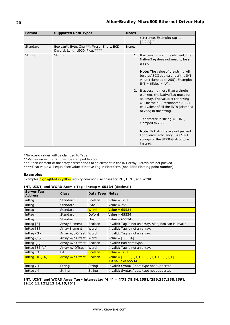**20**

| <b>Format</b> | <b>Supported Data Types</b>                                               | <b>Notes</b> |                                                                                                                                                                                                                  |
|---------------|---------------------------------------------------------------------------|--------------|------------------------------------------------------------------------------------------------------------------------------------------------------------------------------------------------------------------|
|               |                                                                           |              | reference. Example: tag_1<br>$[2,2,3]$ .0.                                                                                                                                                                       |
| Standard      | Boolean*, Byte, Char**, Word, Short, BCD,<br>DWord, Long, LBCD, Float**** | None.        |                                                                                                                                                                                                                  |
| String        | String                                                                    |              | 1. If accessing a single element, the<br>Native Tag does not need to be an<br>array.<br><b>Note:</b> The value of the string will<br>be the ASCII equivalent of the INT                                          |
|               |                                                                           |              | value (clamped to 255). Example:<br>$INT = 65dec = "A".$                                                                                                                                                         |
|               |                                                                           |              | 2. If accessing more than a single<br>element, the Native Tag must be<br>an array. The value of the string<br>will be the null-terminated ASCII<br>equivalent of all the INTs (clamped<br>to 255) in the string. |
|               |                                                                           |              | 1 character in string $=$ 1 INT,<br>clamped to 255.                                                                                                                                                              |
|               |                                                                           |              | <b>Note:</b> INT strings are not packed.<br>For greater efficiency, use SINT<br>strings or the STRING structure<br>instead.                                                                                      |

\*Non-zero values will be clamped to True.

\*\*Values exceeding 255 will be clamped to 255.

\*\*\* Each element of the array corresponds to an element in the INT array. Arrays are not packed.

\*\*\*\*Float value will equal face value of Native Tag in Float form (non-IEEE Floating point number).

### **Examples**

Examples highlighted in yellow signify common use cases for INT, UINT, and WORD.

| <b>Server Tag</b><br><b>Address</b> | <b>Class</b>               | Data Type      | <b>Notes</b>                                                      |
|-------------------------------------|----------------------------|----------------|-------------------------------------------------------------------|
| inttag                              | Standard                   | <b>Boolean</b> | Value = True                                                      |
| inttag                              | Standard                   | <b>Byte</b>    | Value = $255$                                                     |
| inttag                              | Standard                   | Word           | Value = $65534$                                                   |
| inttag                              | Standard                   | <b>DWord</b>   | Value = $65534$                                                   |
| inttag                              | Standard                   | Float          | Value = $65534.0$                                                 |
| inttag $\lceil 3 \rceil$            | Array Element              | <b>Boolean</b> | Invalid: Tag is not an array. Also, Boolean is invalid.           |
| inttag $[3]$                        | Array Element              | Word           | Invalid: Tag is not an array.                                     |
| inttag $\{3\}$                      | Array w/o Offset           | Word           | Invalid: Tag is not an array.                                     |
| inttag $\{1\}$                      | Array w/o Offset           | Word           | Value = $[65534]$                                                 |
| inttag $\{1\}$                      | Array w/o Offset           | Boolean        | Invalid: Bad data type.                                           |
| inttag $\lceil 3 \rceil$ $\{1\}$    | Array w/ Offset            | Word           | Invalid: Tag is not an array.                                     |
| inttag. $3$                         | Bit                        | <b>Boolean</b> | $Value = True$                                                    |
| inttag $.0$ {16}                    | Array w/o Offset   Boolean |                | $Value = [0,1,1,1,1,1,1,1,1,1,1,1,1,1,1,1]$<br>Bit value of 65534 |
| inttag $/1$                         | String                     | String         | Invalid: Syntax / data type not supported.                        |
| inttag $/4$                         | String                     | String         | Invalid: Syntax / data type not supported.                        |

### **INT, UINT, and WORD Atomic Tag - inttag = 65534 (decimal)**

**INT, UINT, and WORD Array Tag - intarraytag [4,4] = [[73,78,84,255],[256,257,258,259], [9,10,11,12],[13,14,15,16]]**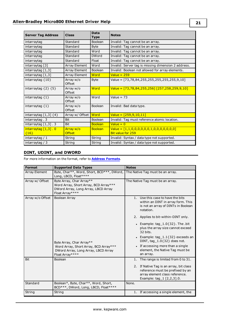| <b>Server Tag Address</b>         | <b>Class</b>               | <b>Data</b><br><b>Type</b> | <b>Notes</b>                                                          |
|-----------------------------------|----------------------------|----------------------------|-----------------------------------------------------------------------|
| intarraytag                       | Standard                   | <b>Boolean</b>             | Invalid: Tag cannot be an array.                                      |
| intarraytag                       | Standard                   | <b>Byte</b>                | Invalid: Tag cannot be an array.                                      |
| intarraytag                       | Standard                   | Word                       | Invalid: Tag cannot be an array.                                      |
| intarraytag                       | Standard                   | <b>DWord</b>               | Invalid: Tag cannot be an array.                                      |
| intarraytag                       | Standard                   | Float                      | Invalid: Tag cannot be an array.                                      |
| intarraytag [3]                   | Array Element              | Word                       | Invalid: Server tag is missing dimension 2 address.                   |
| intarraytag $[1,3]$               | Array Element              | Boolean                    | Invalid: Boolean not allowed for array elements.                      |
| intarraytag $[1,3]$               | Array Element              | Word                       | Value = $259$                                                         |
| intarraytag ${10}$                | Array w/o<br>Offset        | <b>Byte</b>                | Value = $[73, 78, 84, 255, 255, 255, 255, 255, 9, 10]$                |
| intarraytag $\{2\}$ $\{5\}$       | Array w/o<br>Offset        | Word                       | Value = $[73, 78, 84, 255, 256]$ $[257, 258, 259, 9, 10]$             |
| intarraytag $\{1\}$               | Array w/o<br>Offset        | Word                       | Value = $73$                                                          |
| intarraytag $\{1\}$               | Array w/o<br>Offset        | <b>Boolean</b>             | Invalid: Bad data type.                                               |
| intarraytag $[1,3]$ $\{4\}$       | Array w/ Offset            | Word                       | $Value = [259, 9, 10, 11]$                                            |
| intarraytag. 3                    | <b>Bit</b>                 | <b>Boolean</b>             | Invalid: Tag must reference atomic location.                          |
| intarraytag $[1,3]$ . 3           | <b>Bit</b>                 | <b>Boolean</b>             | Value = $0$                                                           |
| $intarraytag [1,3]$ . 0<br>${16}$ | Array w/o<br><b>Offset</b> | <b>Boolean</b>             | $Value = [1,1,0,0,0,0,0,0,1,0,0,0,0,0,0]$<br><b>Bit value for 259</b> |
| intarraytag $/1$                  | String                     | String                     | Invalid: Syntax / data type not supported.                            |
| intarraytag $/3$                  | String                     | String                     | Invalid: Syntax / data type not supported.                            |

### <span id="page-20-0"></span>**DINT, UDINT, and DWORD**

For more information on the format, refer to **Address [Formats](#page-11-0)**.

| <b>Format</b>        | <b>Supported Data Types</b>                                                                                                                  | <b>Notes</b>                                                                                                                                                                                                                                                                                                                                                                                                            |
|----------------------|----------------------------------------------------------------------------------------------------------------------------------------------|-------------------------------------------------------------------------------------------------------------------------------------------------------------------------------------------------------------------------------------------------------------------------------------------------------------------------------------------------------------------------------------------------------------------------|
| <b>Array Element</b> | Byte, Char**, Word, Short, BCD***, DWord,<br>Long, LBCD, Float****                                                                           | The Native Tag must be an array.                                                                                                                                                                                                                                                                                                                                                                                        |
| Array w/ Offset      | Byte Array, Char Array**<br>Word Array, Short Array, BCD Array***<br>DWord Array, Long Array, LBCD Array<br>Float Array****                  | The Native Tag must be an array.                                                                                                                                                                                                                                                                                                                                                                                        |
| Array w/o Offset     | Boolean Array<br>Byte Array, Char Array**<br>Word Array, Short Array, BCD Array***<br>DWord Array, Long Array, LBCD Array<br>Float Array**** | 1. Use this case to have the bits<br>within an DINT in array form. This<br>is not an array of DINTs in Boolean<br>notation.<br>2. Applies to bit-within-DINT only.<br>• Example: $tag_1.0$ {32}. The .bit<br>plus the array size cannot exceed<br>32 bits.<br>• Example: tag $1.1\{32\}$ exceeds an<br>DINT, tag_1.0{32} does not.<br>• If accessing more than a single<br>element, the Native Tag must be<br>an array. |
| <b>Bit</b>           | Boolean                                                                                                                                      | The range is limited from 0 to 31.<br>1.<br>2. If Native Tag is an array, bit class<br>reference must be prefixed by an<br>array element class reference.<br>Example: $tag_1$ $[2,2,3]$ .0.                                                                                                                                                                                                                             |
| Standard             | Boolean*, Byte, Char**, Word, Short,<br>BCD***, DWord, Long, LBCD, Float****                                                                 | None.                                                                                                                                                                                                                                                                                                                                                                                                                   |
| String               | String                                                                                                                                       | 1. If accessing a single element, the                                                                                                                                                                                                                                                                                                                                                                                   |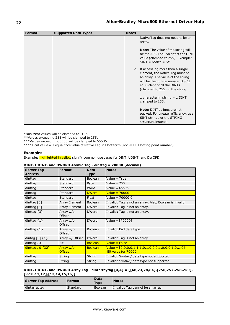| <b>Format</b> | <b>Supported Data Types</b> | <b>Notes</b> |                                                                                                                                                                                                                   |
|---------------|-----------------------------|--------------|-------------------------------------------------------------------------------------------------------------------------------------------------------------------------------------------------------------------|
|               |                             |              | Native Tag does not need to be an<br>array.                                                                                                                                                                       |
|               |                             |              | <b>Note:</b> The value of the string will<br>be the ASCII equivalent of the DINT<br>value (clamped to 255). Example:<br>$SINT = 65dec = "A".$                                                                     |
|               |                             |              | 2. If accessing more than a single<br>element, the Native Tag must be<br>an array. The value of the string<br>will be the null-terminated ASCII<br>equivalent of all the DINTs<br>(clamped to 255) in the string. |
|               |                             |              | 1 character in string $=$ 1 DINT,<br>clamped to 255.                                                                                                                                                              |
|               |                             |              | <b>Note:</b> DINT strings are not<br>packed. For greater efficiency, use<br>SINT strings or the STRING<br>structure instead.                                                                                      |

\*Non-zero values will be clamped to True.

\*\*Values exceeding 255 will be clamped to 255.

\*\*\*Values exceeding 65535 will be clamped to 65535.

\*\*\*\*Float value will equal face value of Native Tag in Float form (non-IEEE Floating point number).

### **Examples**

Examples highlighted in yellow signify common use cases for DINT, UDINT, and DWORD.

| <b>Server Tag</b><br><b>Address</b> | <b>Format</b>              | Data<br><b>Type</b> | <b>Notes</b>                                                           |
|-------------------------------------|----------------------------|---------------------|------------------------------------------------------------------------|
| dinttag                             | Standard                   | <b>Boolean</b>      | Value = True                                                           |
| dinttag                             | Standard                   | <b>Byte</b>         | Value = $255$                                                          |
| dinttag                             | Standard                   | Word                | Value = $65535$                                                        |
| dinttag                             | Standard                   | <b>DWord</b>        | Value = $70000$                                                        |
| dinttag                             | Standard                   | Float               | Value = $70000.0$                                                      |
| dinttag $[3]$                       | Array Element              | <b>Boolean</b>      | Invalid: Tag is not an array. Also, Boolean is invalid.                |
| dinttag [3]                         | Array Element              | <b>DWord</b>        | Invalid: Tag is not an array.                                          |
| dinttag $\{3\}$                     | Array w/o<br>Offset        | <b>DWord</b>        | Invalid: Tag is not an array.                                          |
| dinttag $\{1\}$                     | Array w/o<br>Offset        | <b>DWord</b>        | Value = $[70000]$                                                      |
| dinttag $\{1\}$                     | Array w/o<br>Offset        | <b>Boolean</b>      | Invalid: Bad data type.                                                |
| dintag $[3]$ $\{1\}$                | Array w/ Offset            | <b>DWord</b>        | Invalid: Tag is not an array.                                          |
| dinttag. 3                          | <b>Bit</b>                 | <b>Boolean</b>      | $Value = False$                                                        |
| dinttag $.0$ {32}                   | Array w/o<br><b>Offset</b> | <b>Boolean</b>      | $Value = [0,0,0,0,1,1,1,0,1,0,0,0,1,0,0,1,0,0]$<br>Bit value for 70000 |
| dinttag                             | String                     | String              | Invalid: Syntax / data type not supported.                             |
| dinttag                             | String                     | String              | Invalid: Syntax / data type not supported.                             |

### **DINT, UDINT, and DWORD Atomic Tag - dinttag = 70000 (decimal)**

### **DINT, UDINT, and DWORD Array Tag - dintarraytag [4,4] = [[68,73,78,84],[256,257,258,259], [9,10,11,12],[13,14,15,16]]**

| <b>Server Tag Address</b> | <b>Format</b> | <b>Data</b><br>Type | <b>Notes</b>                       |
|---------------------------|---------------|---------------------|------------------------------------|
| dintarraytag              | Standard      | Boolean             | I Invalid: Tag cannot be an array. |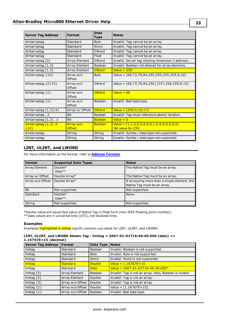| <b>Server Tag Address</b>       | <b>Format</b>              | <b>Data</b><br><b>Type</b> | <b>Notes</b>                                                          |
|---------------------------------|----------------------------|----------------------------|-----------------------------------------------------------------------|
| dintarraytag                    | Standard                   | <b>Byte</b>                | Invalid: Tag cannot be an array.                                      |
| dintarraytag                    | Standard                   | Word                       | Invalid: Tag cannot be an array.                                      |
| dintarraytag                    | Standard                   | <b>DWord</b>               | Invalid: Tag cannot be an array.                                      |
| dintarraytag                    | Standard                   | Float                      | Invalid: Tag cannot be an array.                                      |
| dintarraytag [3]                | Array Element              | <b>DWord</b>               | Invalid: Server tag missing dimension 2 address.                      |
| dintarraytag [1,3]              | Array Element              | Boolean                    | Invalid: Boolean not allowed for array elements.                      |
| dintarraytag $[1,3]$            | Array Element              | <b>DWord</b>               | Value $= 259$                                                         |
| dintarraytag $\{10\}$           | Array w/o<br>Offset        | <b>Byte</b>                | Value = $[68,73,78,84,255,255,255,255,9,10]$                          |
| dintarraytag $\{2\}\{5\}$       | Array w/o<br>Offset        | <b>DWord</b>               | Value = $[68, 73, 78, 84, 256]$ $[257, 258, 259, 9, 10]$              |
| dintarraytag $\{1\}$            | Array w/o<br>Offset        | <b>DWord</b>               | Value = $68$                                                          |
| dintarraytag $\{1\}$            | Array w/o<br>Offset        | Boolean                    | Invalid: Bad data type.                                               |
| dintarraytag $[1,3]\{4\}$       | Array w/ Offset            | <b>DWord</b>               | $Value = [259, 9, 10, 11]$                                            |
| dintarraytag. 3                 | <b>Bit</b>                 | Boolean                    | Invalid: Tag must reference atomic location.                          |
| dintarraytag $[1,3]$ . 3        | <b>Bit</b>                 | <b>Boolean</b>             | Value = $0$                                                           |
| dintarraytag [1,3] .0<br>${32}$ | Array w/o<br><b>Offset</b> | <b>Boolean</b>             | Value = $[1,1,0,0,0,0,0,0,1,0,0,0,0,0,0]$<br><b>Bit value for 259</b> |
| dintarraytag                    | String                     | String                     | Invalid: Syntax / data type not supported.                            |
| dintarraytag                    | String                     | String                     | Invalid: Syntax / data type not supported.                            |

### <span id="page-22-0"></span>**LINT, ULINT, and LWORD**

For more information on the format, refer to **Address [Formats](#page-11-0)**.

| <b>Format</b>    | <b>Supported Data Types</b> | <b>Notes</b>                                                                 |
|------------------|-----------------------------|------------------------------------------------------------------------------|
| Array Element    | Double*<br>Date $**$        | The Native Tag must be an array.                                             |
| Array w/ Offset  | Double Array*               | The Native Tag must be an array.                                             |
| Array w/o Offset | Double Array*               | If accessing more than a single element, the<br>Native Tag must be an array. |
| Bit              | Not supported.              | Not supported.                                                               |
| Standard         | Double*<br>Date $**$        | None.                                                                        |
| String           | Not supported.              | Not supported.                                                               |

\*Double value will equal face value of Native Tag in Float form (non-IEEE Floating point number). \*\*Date values are in universal time (UTC), not localized time.

#### **Examples**

Examples highlighted in yellow signify common use cases for LINT, ULINT, and LWORD.

### **LINT, ULINT, and LWORD Atomic Tag - linttag = 2007-01-01T16:46:40.000 (date) == 1.16767E+15 (decimal)**

| Server Tag Address        | Format               | Data Type      | <b>Notes</b>                                            |
|---------------------------|----------------------|----------------|---------------------------------------------------------|
| linttag                   | Standard             | <b>Boolean</b> | Invalid: Boolean is not supported.                      |
| linttag                   | Standard             | <b>Byte</b>    | Invalid: Byte is not supported.                         |
| linttag                   | Standard             | Word           | Invalid: Word is not supported.                         |
| linttag                   | Standard             | <b>Double</b>  | $Value = 1.16767E + 15$                                 |
| linttag                   | Standard             | <b>Date</b>    | Value = $2007 - 01 - 01T16:46:40.000*$                  |
| linttag $\lceil 3 \rceil$ | Array Element        | <b>Boolean</b> | Invalid: Tag is not an array. Also, Boolean is invalid. |
| linttag [3]               | <b>Array Element</b> | Double         | Invalid: Tag is not an array.                           |
| linttag $\{3\}$           | Array w/o Offset     | Double         | Invalid: Tag is not an array.                           |
| linttag $\{1\}$           | Array w/o Offset     | Double         | Value = $[1.16767E+15]$                                 |
| linttag $\{1\}$           | Array w/o Offset     | <b>Boolean</b> | Invalid: Bad data type.                                 |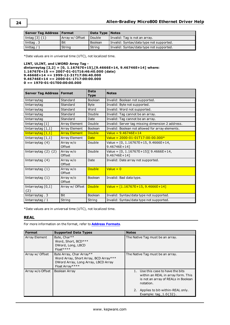| Server Tag Address   Format           |                 | Data Type   Notes |                                          |
|---------------------------------------|-----------------|-------------------|------------------------------------------|
| $\vert$ lintag $\vert$ 3 $\vert$ {1 } | Array w/ Offset | Double            | Invalid: Tag is not an array.            |
| $\vert$ linttag . 3                   | <b>Bit</b>      | Boolean           | Invalid: Syntax/data type not supported. |
| linttag $/1$                          | String          | String            | Invalid: Syntax/data type not supported. |

\*Date values are in universal time (UTC), not localized time.

```
LINT, ULINT, and LWORD Array Tag -
dintarraytag [2,2] = [0, 1.16767E+15],[9.4666E+14, 9.46746E+14] where:
1.16767E+15 == 2007-01-01T16:46:40.000 (date)
9.4666E+14 == 1999-12-31T17:06:40.000
9.46746E+14 == 2000-01-1T17:00:00.000
0 == 1970-01-01T00:00:00.000
```

| Server Tag Address   Format    |                      | <b>Data</b><br><b>Type</b> | <b>Notes</b>                                           |
|--------------------------------|----------------------|----------------------------|--------------------------------------------------------|
| lintarraytag                   | Standard             | Boolean                    | Invalid: Boolean not supported.                        |
| lintarraytag                   | Standard             | <b>Byte</b>                | Invalid: Byte not supported.                           |
| lintarraytag                   | Standard             | Word                       | Invalid: Word not supported.                           |
| lintarraytag                   | Standard             | Double                     | Invalid: Tag cannot be an array.                       |
| lintarraytag                   | Standard             | Date                       | Invalid: Tag cannot be an array.                       |
| lintarraytag $\lceil 1 \rceil$ | Array Element        | Double                     | Invalid: Server tag missing dimension 2 address.       |
| lintarraytag $[1,1]$           | Array Element        | Boolean                    | Invalid: Boolean not allowed for array elements.       |
| lintarraytag [1,1]             | <b>Array Element</b> | <b>Double</b>              | Value = $9.46746E+14$                                  |
| lintarraytag $[1,1]$           | <b>Array Element</b> | <b>Date</b>                | Value = $2000 - 01 - 01T17:00:00.000*$                 |
| lintarraytag $\{4\}$           | Array w/o<br>Offset  | Double                     | Value = $[0, 1.16767E+15, 9.4666E+14,$<br>9.46746E+141 |
| lintarraytag $\{2\}$ $\{2\}$   | Array w/o<br>Offset  | Double                     | Value = $[0, 1.16767E+15][9.4666E+14,$<br>9.46746E+141 |
| lintarraytag $\{4\}$           | Array w/o<br>Offset  | Date                       | Invalid: Date array not supported.                     |
| lintarraytag $\{1\}$           | Array w/o<br>Offset  | <b>Double</b>              | Value = $0$                                            |
| lintarraytag $\{1\}$           | Array w/o<br>Offset  | Boolean                    | Invalid: Bad data type.                                |
| lintarraytag $[0,1]$<br>${2}$  | Array w/ Offset      | <b>Double</b>              | $Value = [1.16767E+15, 9.4666E+14]$                    |
| lintarraytag. 3                | <b>Bit</b>           | Boolean                    | Invalid: Syntax/data type not supported.               |
| lintarraytag $/1$              | String               | String                     | Invalid: Syntax/data type not supported.               |

<span id="page-23-0"></span>\*Date values are in universal time (UTC), not localized time.

### **REAL**

For more information on the format, refer to **Address [Formats](#page-11-0)**.

| Format           | <b>Supported Data Types</b>                                                                                                 | <b>Notes</b>                                                                                                                                                                                   |
|------------------|-----------------------------------------------------------------------------------------------------------------------------|------------------------------------------------------------------------------------------------------------------------------------------------------------------------------------------------|
| Array Element    | Byte, Char**<br>Word, Short, BCD***<br>DWord, Long, LBCD<br>$Float****$                                                     | The Native Tag must be an array.                                                                                                                                                               |
| Array w/ Offset  | Byte Array, Char Array**<br>Word Array, Short Array, BCD Array***<br>DWord Array, Long Array, LBCD Array<br>Float Array**** | The Native Tag must be an array.                                                                                                                                                               |
| Array w/o Offset | Boolean Array                                                                                                               | 1. Use this case to have the bits<br>within an REAL in array form. This<br>is not an array of REALs in Boolean<br>notation.<br>2. Applies to bit-within-REAL only.<br>Example: tag $1.0$ {32}. |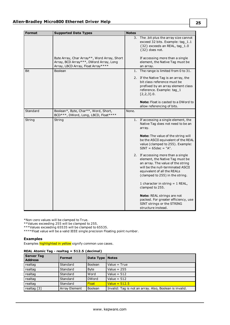| <b>Format</b> | <b>Supported Data Types</b>                                                                                                 | <b>Notes</b> |                                                                                                                                                                                                                   |
|---------------|-----------------------------------------------------------------------------------------------------------------------------|--------------|-------------------------------------------------------------------------------------------------------------------------------------------------------------------------------------------------------------------|
|               |                                                                                                                             |              | 3. The .bit plus the array size cannot<br>exceed 32 bits. Example: tag_1.1<br>{32} exceeds an REAL, tag_1.0<br>${32}$ does not.                                                                                   |
|               | Byte Array, Char Array**, Word Array, Short<br>Array, BCD Array***, DWord Array, Long<br>Array, LBCD Array, Float Array**** |              | If accessing more than a single<br>element, the Native Tag must be<br>an array.                                                                                                                                   |
| Bit           | Boolean                                                                                                                     |              | 1. The range is limited from 0 to 31.                                                                                                                                                                             |
|               |                                                                                                                             |              | 2. If the Native Tag is an array, the<br>bit class reference must be<br>prefixed by an array element class<br>reference. Example: tag_1<br>[2,2,3].0.                                                             |
|               |                                                                                                                             |              | <b>Note:</b> Float is casted to a DWord to<br>allow referencing of bits.                                                                                                                                          |
| Standard      | Boolean*, Byte, Char**, Word, Short,<br>BCD***, DWord, Long, LBCD, Float****                                                | None.        |                                                                                                                                                                                                                   |
| String        | String                                                                                                                      |              | 1. If accessing a single element, the<br>Native Tag does not need to be an<br>array.                                                                                                                              |
|               |                                                                                                                             |              | Note: The value of the string will<br>be the ASCII equivalent of the REAL<br>value (clamped to 255). Example:<br>$SINT = 65dec = "A".$                                                                            |
|               |                                                                                                                             |              | 2. If accessing more than a single<br>element, the Native Tag must be<br>an array. The value of the string<br>will be the null-terminated ASCII<br>equivalent of all the REALs<br>(clamped to 255) in the string. |
|               |                                                                                                                             |              | 1 character in string $= 1$ REAL,<br>clamped to 255.                                                                                                                                                              |
|               |                                                                                                                             |              | <b>Note:</b> REAL strings are not<br>packed. For greater efficiency, use<br>SINT strings or the STRING<br>structure instead.                                                                                      |

\*Non-zero values will be clamped to True.

\*\*Values exceeding 255 will be clamped to 255.

\*\*\*Values exceeding 65535 will be clamped to 65535.

\*\*\*\*Float value will be a valid IEEE single precision Floating point number.

### **Examples**

Examples highlighted in yellow signify common use cases.

| .                                   |                      |                   |                                                         |  |
|-------------------------------------|----------------------|-------------------|---------------------------------------------------------|--|
| <b>Server Tag</b><br><b>Address</b> | <b>Format</b>        | Data Type   Notes |                                                         |  |
| realtag                             | Standard             | <b>Boolean</b>    | Value $=$ True                                          |  |
| realtag                             | Standard             | <b>Byte</b>       | Value = $255$                                           |  |
| realtag                             | Standard             | Word              | Value = $512$                                           |  |
| realtag                             | Standard             | <b>DWord</b>      | Value = $512$                                           |  |
| realtag                             | Standard             | <b>Float</b>      | Value = $512.5$                                         |  |
| realtag [3]                         | <b>Array Element</b> | <b>Boolean</b>    | Invalid: Tag is not an array. Also, Boolean is invalid. |  |

#### **REAL Atomic Tag - realtag = 512.5 (decimal)**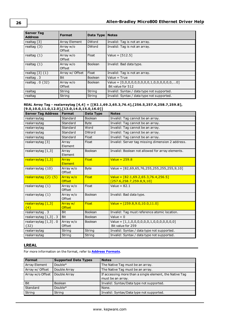| <b>Server Tag</b><br><b>Address</b> | Format              | Data Type $ $  | <b>Notes</b>                                                     |
|-------------------------------------|---------------------|----------------|------------------------------------------------------------------|
| realtag $\lceil 3 \rceil$           | Array Element       | <b>DWord</b>   | Invalid: Tag is not an array.                                    |
| realtag $\{3\}$                     | Array w/o<br>Offset | <b>DWord</b>   | Invalid: Tag is not an array.                                    |
| realtag $\{1\}$                     | Array w/o<br>Offset | Float          | Value = $[512.5]$                                                |
| realtag $\{1\}$                     | Array w/o<br>Offset | Boolean        | Invalid: Bad data type.                                          |
| realtag $[3]$ $\{1\}$               | Array w/ Offset     | Float          | Invalid: Tag is not an array.                                    |
| realtag. 3                          | Bit                 | <b>Boolean</b> | Value = True                                                     |
| realtag $.0$ {32}                   | Array w/o<br>Offset | <b>Boolean</b> | $Value = [0,0,0,0,0,0,0,0,0,1,0,0,0,0,0,0]$<br>Bit value for 512 |
| realtag                             | String              | String         | Invalid: Syntax / data type not supported.                       |
| realtag                             | String              | String         | Invalid: Syntax / data type not supported.                       |

### **REAL Array Tag - realarraytag [4,4] = [[82.1,69.2,65.3,76.4],[256.5,257.6,258.7,259.8], [9.0,10.0,11.0,12.0],[13.0,14.0,15.0,16.0]]**

| <b>Server Tag Address</b>                      | <b>Format</b>              | Data Type      | <b>Notes</b>                                                          |
|------------------------------------------------|----------------------------|----------------|-----------------------------------------------------------------------|
| realarraytag                                   | Standard                   | Boolean        | Invalid: Tag cannot be an array.                                      |
| realarraytag                                   | Standard                   | <b>Byte</b>    | Invalid: Tag cannot be an array.                                      |
| realarraytag                                   | Standard                   | Word           | Invalid: Tag cannot be an array.                                      |
| realarraytag                                   | Standard                   | <b>DWord</b>   | Invalid: Tag cannot be an array.                                      |
| realarraytag                                   | Standard                   | Float          | Invalid: Tag cannot be an array.                                      |
| realarraytag [3]                               | Array<br>Element           | Float          | Invalid: Server tag missing dimension 2 address.                      |
| realarraytag $[1,3]$                           | Array<br>Element           | Boolean        | Invalid: Boolean not allowed for array elements.                      |
| realarraytag [1,3]                             | Array<br>Element           | <b>Float</b>   | Value = $259.8$                                                       |
| realarraytag ${10}$                            | Array w/o<br>Offset        | <b>Byte</b>    | Value = [82,69,65,76,255,255,255,255,9,10]                            |
| realarraytag {2} {5}                           | Array w/o<br><b>Offset</b> | <b>Float</b>   | Value = $[82.1,69.2,65.3,76.4,256.5]$<br>[257.6, 258.7, 259.8, 9, 10] |
| realarraytag $\{1\}$                           | Array w/o<br>Offset        | Float          | Value = $82.1$                                                        |
| realarraytag $\{1\}$                           | Array w/o<br>Offset        | <b>Boolean</b> | Invalid: Bad data type.                                               |
| realarraytag [1,3]<br>${4}$                    | Array w/<br><b>Offset</b>  | <b>Float</b>   | Value = $[259.8.9.0.10.0.11.0]$                                       |
| realarraytag. 3                                | <b>Bit</b>                 | Boolean        | Invalid: Tag must reference atomic location.                          |
| realarraytag $[1,3]$ . 3                       | <b>Bit</b>                 | Boolean        | Value = $0$                                                           |
| realarraytag $\lceil 1,3 \rceil$ . 0<br>${32}$ | Array w/o<br>Offset        | <b>Boolean</b> | Value = $[1,1,0,0,0,0,0,0,1,0,0,0,0,0,0]$<br>Bit value for 259        |
| realarraytag                                   | String                     | String         | Invalid: Syntax / data type not supported.                            |
| realarraytag                                   | String                     | String         | Invalid: Syntax / data type not supported.                            |

### <span id="page-25-0"></span>**LREAL**

For more information on the format, refer to **Address [Formats](#page-11-0)**.

| Format           | <b>Supported Data Types</b> | <b>Notes</b>                                                                 |
|------------------|-----------------------------|------------------------------------------------------------------------------|
| Array Element    | Double*                     | The Native Tag must be an array.                                             |
| Array w/ Offset  | Double Array                | The Native Tag must be an array.                                             |
| Array w/o Offset | Double Array                | If accessing more than a single element, the Native Tag<br>must be an array. |
| <b>Bit</b>       | Boolean                     | Invalid: Syntax/Data type not supported.                                     |
| Standard         | Double*                     | None.                                                                        |
| String           | String                      | Invalid: Syntax/Data type not supported.                                     |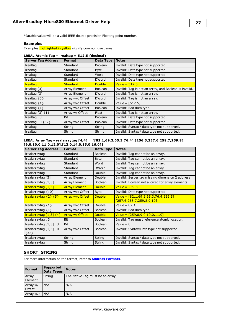\*Double value will be a valid IEEE double precision Floating point number.

### **Examples**

Examples highlighted in yellow signify common use cases.

| LREAL Atomic Tag – Irealtag = 512.5 (decimal) |  |  |
|-----------------------------------------------|--|--|
|-----------------------------------------------|--|--|

| <b>Server Tag Address</b>      | <b>Format</b>    | Data Type      | <b>Notes</b>                                          |
|--------------------------------|------------------|----------------|-------------------------------------------------------|
| Irealtag                       | Standard         | <b>Boolean</b> | Invalid: Data type not supported.                     |
| Irealtag                       | Standard         | <b>Byte</b>    | Invalid: Data type not supported.                     |
| Irealtag                       | Standard         | Word           | Invalid: Data type not supported.                     |
| Irealtag                       | Standard         | <b>DWord</b>   | Invalid: Data type not supported.                     |
| <b>Irealtag</b>                | <b>Standard</b>  | <b>Double</b>  | Value = $512.5$                                       |
| Irealtag $[3]$                 | Array Element    | <b>Boolean</b> | Invalid: Tag is not an array, and Boolean is invalid. |
| Irealtag [3]                   | Array Element    | <b>DWord</b>   | Invalid: Tag is not an array.                         |
| Irealtag $\{3\}$               | Array w/o Offset | <b>DWord</b>   | Invalid: Tag is not an array.                         |
| Irealtag $\{1\}$               | Array w/o Offset | Double         | Value = $[512.5]$                                     |
| Irealtag $\{1\}$               | Array w/o Offset | <b>Boolean</b> | Invalid: Bad data type.                               |
| Irealtag $\lceil 3 \rceil$ {1} | Array w/ Offset  | Float          | Invalid: Tag is not an array.                         |
| Irealtag. 3                    | Bit              | Boolean        | Invalid: Data type not supported.                     |
| Irealtag $.0$ {32}             | Array w/o Offset | <b>Boolean</b> | Invalid: Data type not supported.                     |
| Irealtag                       | String           | String         | Invalid: Syntax / data type not supported.            |
| Irealtag                       | String           | String         | Invalid: Syntax / data type not supported.            |

### **LREAL Array Tag - realarraytag [4,4] = [[82.1,69.2,65.3,76.4],[256.5,257.6,258.7,259.8], [9.0,10.0,11.0,12.0],[13.0,14.0,15.0,16.0]]**

| <b>Server Tag Address</b>              | <b>Format</b>        | <b>Data Type</b> | <b>Notes</b>                                     |
|----------------------------------------|----------------------|------------------|--------------------------------------------------|
| Irealarraytag                          | Standard             | <b>Boolean</b>   | Invalid: Tag cannot be an array.                 |
| Irealarraytag                          | Standard             | <b>Byte</b>      | Invalid: Tag cannot be an array.                 |
| Irealarraytag                          | Standard             | Word             | Invalid: Tag cannot be an array.                 |
| Irealarraytag                          | Standard             | <b>DWord</b>     | Invalid: Tag cannot be an array.                 |
| Irealarraytag                          | Standard             | Double           | Invalid: Tag cannot be an array.                 |
| Irealarraytag [3]                      | Array Element        | Double           | Invalid: Server tag missing dimension 2 address. |
| Irealarraytag $[1,3]$                  | <b>Array Element</b> | <b>Boolean</b>   | Invalid: Boolean not allowed for array elements. |
| Irealarraytag [1,3]                    | <b>Array Element</b> | <b>Double</b>    | $Value = 259.8$                                  |
| Irealarraytag $\{10\}$                 | Array w/o Offset     | <b>Byte</b>      | Invalid: Data type not supported.                |
| $I$ realarraytag $\{2\}$ $\{5\}$       | Array w/o Offset     | <b>Double</b>    | $Value = [82.1, 69.2, 65.3, 76.4, 256.5]$        |
|                                        |                      |                  | [257.6,258.7,259.8,9,10]                         |
| Irealarraytag $\{1\}$                  | Array w/o Offset     | Double           | Value = $82.1$                                   |
| Irealarraytag $\{1\}$                  | Array w/o Offset     | <b>Boolean</b>   | Invalid: Bad data type.                          |
| $Irealarraytaq [1,3] {4}$              | Array w/ Offset      | <b>Double</b>    | Value = $[259.8, 9.0, 10.0, 11.0]$               |
| Irealarraytag. 3                       | <b>Bit</b>           | <b>Boolean</b>   | Invalid: Tag must reference atomic location.     |
| Irealarraytag $\lceil 1, 3 \rceil$ . 3 | Bit                  | <b>Boolean</b>   | Value = $0$                                      |
| Irealarraytag $[1,3]$ . 0              | Array w/o Offset     | <b>Boolean</b>   | Invalid: Syntax/Data type not supported.         |
| ${32}$                                 |                      |                  |                                                  |
| Irealarraytag                          | String               | String           | Invalid: Syntax / data type not supported.       |
| Irealarraytag                          | String               | String           | Invalid: Syntax / data type not supported.       |

### <span id="page-26-0"></span>**SHORT\_STRING**

For more information on the format, refer to **Address [Formats](#page-11-0)**.

| Format             | <b>Supported</b><br>Data Types | <b>Notes</b>                     |
|--------------------|--------------------------------|----------------------------------|
| Array<br>Element   | String                         | The Native Tag must be an array. |
| Array w/<br>Offset | N/A                            | N/A                              |
| Array w/o          | N/A                            | N/A                              |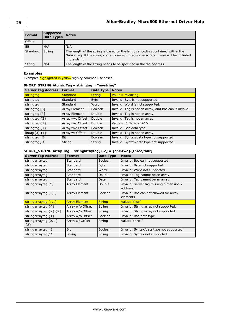| <b>Format</b> | Supported<br><b>Data Types</b> | <b>Notes</b>                                                                                                                                                                           |
|---------------|--------------------------------|----------------------------------------------------------------------------------------------------------------------------------------------------------------------------------------|
| Offset        |                                |                                                                                                                                                                                        |
| Bit           | N/A                            | N/A                                                                                                                                                                                    |
| Standard      | String                         | The length of the string is based on the length encoding contained within the<br>Native Tag. If the string contains non-printable characters, these will be included<br>in the string. |
| String        | N/A                            | The length of the string needs to be specified in the tag address.                                                                                                                     |

### **Examples**

Examples highlighted in yellow signify common use cases.

### **SHORT\_STRING Atomic Tag – stringtag = "mystring"**

| <b>Server Tag Address</b> | <b>Format</b>    | Data Type      | <b>Notes</b>                                          |
|---------------------------|------------------|----------------|-------------------------------------------------------|
| stringtag                 | <b>Standard</b>  | <b>String</b>  | Value = $mystring.$                                   |
| stringtag                 | Standard         | <b>Byte</b>    | Invalid: Byte is not supported.                       |
| stringtag                 | Standard         | Word           | Invalid: Word is not supported.                       |
| stringtag [3]             | Array Element    | Boolean        | Invalid: Tag is not an array, and Boolean is invalid. |
| stringtag [3]             | Array Element    | Double         | Invalid: Tag is not an array.                         |
| stringtag $\{3\}$         | Array w/o Offset | Double         | Invalid: Tag is not an array.                         |
| stringtag $\{1\}$         | Array w/o Offset | Double         | Value = $[1.16767E+15]$ .                             |
| stringtag $\{1\}$         | Array w/o Offset | <b>Boolean</b> | Invalid: Bad data type.                               |
| lintag $[3]$ $\{1\}$      | Array w/ Offset  | Double         | Invalid: Tag is not an array.                         |
| stringtag. 3              | Bit              | <b>Boolean</b> | Invalid: Syntax/data type not supported.              |
| stringtag / 1             | String           | String         | Invalid: Syntax/data type not supported.              |

### **SHORT\_STRING Array Tag – stringarraytag[2,2] = [one,two].[three,four]**

| <b>Server Tag Address</b>        | <b>Format</b>        | Data Type      | <b>Notes</b>                                        |
|----------------------------------|----------------------|----------------|-----------------------------------------------------|
| stringarraytag                   | Standard             | <b>Boolean</b> | Invalid: Boolean not supported.                     |
| stringarraytag                   | Standard             | <b>Byte</b>    | Invalid: Byte not supported.                        |
| stringarraytag                   | Standard             | Word           | Invalid: Word not supported.                        |
| stringarraytag                   | Standard             | Double         | Invalid: Tag cannot be an array.                    |
| stringarraytag                   | Standard             | Date           | Invalid: Tag cannot be an array.                    |
| stringarraytag $\lceil 1 \rceil$ | <b>Array Element</b> | Double         | Invalid: Server tag missing dimension 2<br>address. |
| stringarraytag $[1,1]$           | <b>Array Element</b> | Boolean        | Invalid: Boolean not allowed for array<br>elements. |
| stringarraytag [1,1]             | <b>Array Element</b> | <b>String</b>  | Value: "four"                                       |
| stringarraytag $\{4\}$           | Array w/o Offset     | String         | Invalid: String array not supported.                |
| stringarraytag $\{2\}$ $\{2\}$   | Array w/o Offset     | String         | Invalid: String array not supported.                |
| stringarraytag $\{1\}$           | Array w/o Offset     | <b>Boolean</b> | Invalid: Bad data type.                             |
| stringarraytag $[0, 1]$<br>${2}$ | Array w/ Offset      | String         | Value: "three"                                      |
| stringarraytag. 3                | <b>Bit</b>           | <b>Boolean</b> | Invalid: Syntax/data type not supported.            |
| stringarraytag / 1               | String               | String         | Invalid: Syntax not supported.                      |

**28**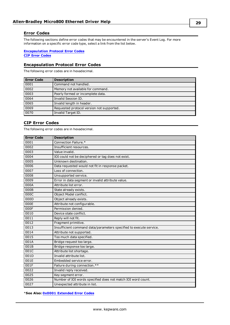### <span id="page-28-0"></span>**Error Codes**

The following sections define error codes that may be encountered in the server's Event Log. For more information on a specific error code type, select a link from the list below.

### **[Encapsulation](#page-28-1) Protocol Error Codes CIP Error [Codes](#page-28-2)**

### <span id="page-28-1"></span>**Encapsulation Protocol Error Codes**

The following error codes are in hexadecimal.

| <b>Error Code</b> | <b>Description</b>                        |
|-------------------|-------------------------------------------|
| 0001              | Command not handled.                      |
| 0002              | Memory not available for command.         |
| 0003              | Poorly formed or incomplete data.         |
| 0064              | Invalid Session ID.                       |
| 0065              | Invalid length in header.                 |
| 0069              | Requested protocol version not supported. |
| 0070              | Invalid Target ID.                        |

### <span id="page-28-2"></span>**CIP Error Codes**

The following error codes are in hexadecimal.

| <b>Error Code</b> | <b>Description</b>                                                 |
|-------------------|--------------------------------------------------------------------|
| 0001              | Connection Failure.*                                               |
| 0002              | Insufficient resources.                                            |
| 0003              | Value invalid.                                                     |
| 0004              | IOI could not be deciphered or tag does not exist.                 |
| 0005              | Unknown destination.                                               |
| 0006              | Data requested would not fit in response packet.                   |
| 0007              | Loss of connection.                                                |
| 0008              | Unsupported service.                                               |
| 0009              | Error in data segment or invalid attribute value.                  |
| 000A              | Attribute list error.                                              |
| 000B              | State already exists.                                              |
| 000C              | Object Model conflict.                                             |
| 000D              | Object already exists.                                             |
| 000E              | Attribute not configurable.                                        |
| 000F              | Permission denied.                                                 |
| 0010              | Device state conflict.                                             |
| 0011              | Reply will not fit.                                                |
| 0012              | Fragment primitive.                                                |
| 0013              | Insufficient command data/parameters specified to execute service. |
| 0014              | Attribute not supported.                                           |
| 0015              | Too much data specified.                                           |
| 001A              | Bridge request too large.                                          |
| 001B              | Bridge response too large.                                         |
| 001C              | Attribute list shortage.                                           |
| 001D              | Invalid attribute list.                                            |
| 001E              | Embedded service error.                                            |
| 001F              | Failure during connection.**                                       |
| 0022              | Invalid reply received.                                            |
| 0025              | Key segment error.                                                 |
| 0026              | Number of IOI words specified does not match IOI word count.       |
| 0027              | Unexpected attribute in list.                                      |

\***See Also: 0x0001 [Extended](#page-29-0) Error Codes**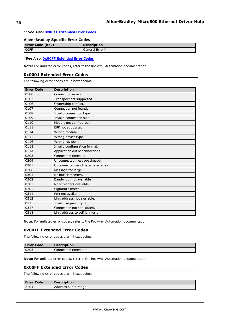### \*\***See Also: 0x001F [Extended](#page-29-1) Error Codes**

### **Allen-Bradley Specific Error Codes**

| <b>Error Code (hex)</b> | <b>Description</b> |
|-------------------------|--------------------|
| OOFF                    | General Error*     |
|                         |                    |

\***See Also: 0x00FF [Extended](#page-29-2) Error Codes**

<span id="page-29-0"></span>**Note:** For unlisted error codes, refer to the Rockwell Automation documentation.

### **0x0001 Extended Error Codes**

The following error codes are in hexadecimal.

| <b>Error Code</b> | <b>Description</b>                |
|-------------------|-----------------------------------|
| 0100              | Connection in use.                |
| 0103              | Transport not supported.          |
| 0106              | Ownership conflict.               |
| 0107              | Connection not found.             |
| 0108              | Invalid connection type.          |
| 0109              | Invalid connection size.          |
| 0110              | Module not configured.            |
| 0111              | EPR not supported.                |
| 0114              | Wrong module.                     |
| 0115              | Wrong device type.                |
| 0116              | Wrong revision.                   |
| 0118              | Invalid configuration format.     |
| 011A              | Application out of connections.   |
| 0203              | Connection timeout.               |
| 0204              | Unconnected message timeout.      |
| 0205              | Unconnected send parameter error. |
| 0206              | Message too large.                |
| 0301              | No buffer memory.                 |
| 0302              | Bandwidth not available.          |
| 0303              | No screeners available.           |
| 0305              | Signature match.                  |
| 0311              | Port not available.               |
| 0312              | Link address not available.       |
| 0315              | Invalid segment type.             |
| 0317              | Connection not scheduled.         |
| 0318              | Link address to self is invalid.  |

<span id="page-29-1"></span>**Note:** For unlisted error codes, refer to the Rockwell Automation documentation.

### **0x001F Extended Error Codes**

The following error codes are in hexadecimal.

| <b>Error Code</b> | <b>Description</b>    |
|-------------------|-----------------------|
| 0203              | Connection timed out. |

<span id="page-29-2"></span>**Note:** For unlisted error codes, refer to the Rockwell Automation documentation.

### **0x00FF Extended Error Codes**

The following error codes are in hexadecimal.

| <b>Error Code</b> | <b>Description</b>    |
|-------------------|-----------------------|
| 2104              | Address out of range. |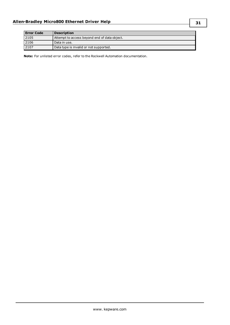| <b>Error Code</b> | <b>Description</b>                           |
|-------------------|----------------------------------------------|
| 2105              | Attempt to access beyond end of data object. |
| 2106              | Data in use.                                 |
| 2107              | Data type is invalid or not supported.       |

**Note:** For unlisted error codes, refer to the Rockwell Automation documentation.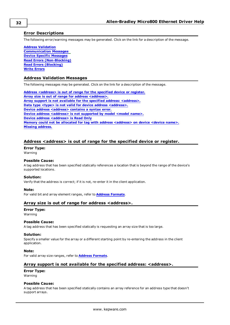### <span id="page-31-0"></span>**Error Descriptions**

The following error/warning messages may be generated. Click on the link for a description of the message.

**Address [Validation](#page-31-1) [Communication](#page-33-2) Messages Device Specific [Messages](#page-35-1) Read Errors [\(Non-Blocking\)](#page-40-2) Read Errors [\(Blocking\)](#page-36-1) Write [Errors](#page-38-2)**

### <span id="page-31-1"></span>**Address Validation Messages**

The following messages may be generated. Click on the link for a description of the message.

**Address [<address>](#page-31-2) is out of range for the specified device or register. Array size is out of range for address [<address>.](#page-31-3) Array support is not available for the specified address: [<address>.](#page-31-4) Data type <type> is not valid for device address [<address>.](#page-32-0) Device address [<address>](#page-32-1)** contains a syntax error. **Device address [<address>](#page-32-2)** is not supported by model <model name>. **Device address [<address>](#page-32-3) is Read Only Memory could not be allocated for tag with address [<address>](#page-33-0) on device <device name>. Missing [address.](#page-33-1)**

### <span id="page-31-2"></span>**Address <address> is out of range for the specified device or register.**

### **Error Type:**

Warning

### **Possible Cause:**

A tag address that has been specified statically references a location that is beyond the range of the device's supported locations.

### **Solution:**

Verify that the address is correct; if it is not, re-enter it in the client application.

### **Note:**

<span id="page-31-3"></span>For valid bit and array element ranges, refer to **Address [Formats](#page-11-0)**.

### **Array size is out of range for address <address>.**

### **Error Type:**

Warning

### **Possible Cause:**

A tag address that has been specified statically is requesting an array size that is too large.

#### **Solution:**

Specify a smaller value for the array or a different starting point by re-entering the address in the client application.

#### **Note:**

<span id="page-31-4"></span>For valid array size ranges, refer to **Address [Formats](#page-11-0)**.

### **Array support is not available for the specified address: <address>.**

## **Error Type:**

Warning

#### **Possible Cause:**

A tag address that has been specified statically contains an array reference for an address type that doesn't support arrays.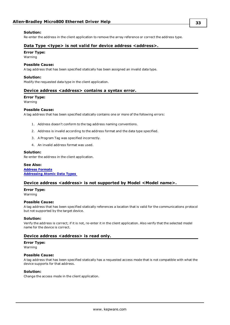### **Solution:**

<span id="page-32-0"></span>Re-enter the address in the client application to remove the array reference or correct the address type.

### **Data Type <type> is not valid for device address <address>.**

### **Error Type:**

Warning

### **Possible Cause:**

A tag address that has been specified statically has been assigned an invalid data type.

### **Solution:**

<span id="page-32-1"></span>Modify the requested data type in the client application.

### **Device address <address> contains a syntax error.**

#### **Error Type:**

Warning

#### **Possible Cause:**

A tag address that has been specified statically contains one or more of the following errors:

- 1. Address doesn't conform to the tag address naming conventions.
- 2. Address is invalid according to the address format and the data type specified.
- 3. A Program Tag was specified incorrectly.
- 4. An invalid address format was used.

### **Solution:**

Re-enter the address in the client application.

### **See Also:**

**Address [Formats](#page-11-0) [Addressing](#page-13-0) Atomic Data Types**

#### <span id="page-32-2"></span>**Device address <address> is not supported by Model <Model name>.**

**Error Type:**

Warning

### **Possible Cause:**

A tag address that has been specified statically references a location that is valid for the communications protocol but not supported by the target device.

#### **Solution:**

Verify the address is correct; if it is not, re-enter it in the client application. Also verify that the selected model name for the device is correct.

### <span id="page-32-3"></span>**Device address <address> is read only.**

#### **Error Type:**

Warning

### **Possible Cause:**

A tag address that has been specified statically has a requested access mode that is not compatible with what the device supports for that address.

#### **Solution:**

Change the access mode in the client application.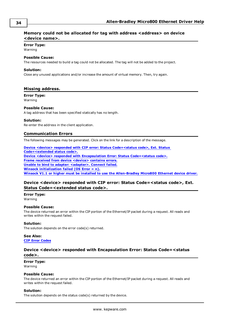### <span id="page-33-0"></span>**Memory could not be allocated for tag with address <address> on device <device name>.**

#### **Error Type:**

Warning

### **Possible Cause:**

The resources needed to build a tag could not be allocated. The tag will not be added to the project.

#### **Solution:**

Close any unused applications and/or increase the amount of virtual memory. Then, try again.

### <span id="page-33-1"></span>**Missing address.**

### **Error Type:**

Warning

### **Possible Cause:**

A tag address that has been specified statically has no length.

#### **Solution:**

<span id="page-33-2"></span>Re-enter the address in the client application.

### **Communication Errors**

The following messages may be generated. Click on the link for a description of the message.

**Device <device> responded with CIP error: Status [Code=<status](#page-33-3) code>, Ext. Status [Code=<extended](#page-33-3) status code>. Device <device> responded with Encapsulation Error: Status [Code=<status](#page-33-4) code>. Frame received from device [<device>](#page-34-0) contains errors. Unable to bind to adapter: [<adapter>.](#page-34-1) Connect failed. Winsock [initialization](#page-34-2) failed (OS Error = n). Winsock V1.1 or higher must be installed to use the [Allen-Bradley](#page-35-0) Micro800 Ethernet device driver.**

### <span id="page-33-3"></span>**Device <device> responded with CIP error: Status Code=<status code>, Ext. Status Code=<extended status code>.**

#### **Error Type:** Warning

#### **Possible Cause:**

The device returned an error within the CIP portion of the Ethernet/IP packet during a request. All reads and writes within the request failed.

### **Solution:**

The solution depends on the error code(s) returned.

### **See Also: CIP Error [Codes](#page-28-2)**

### <span id="page-33-4"></span>**Device <device> responded with Encapsulation Error: Status Code=<status code>.**

### **Error Type:**

Warning

### **Possible Cause:**

The device returned an error within the CIP portion of the Ethernet/IP packet during a request. All reads and writes within the request failed.

#### **Solution:**

The solution depends on the status code(s) returned by the device.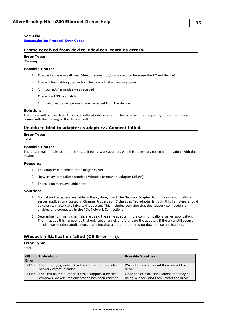### **See Also:**

<span id="page-34-0"></span>**[Encapsulation](#page-28-1) Protocol Error Codes**

### **Frame received from device <device> contains errors.**

### **Error Type:**

Warning

### **Possible Cause:**

- 1. The packets are misaligned (due to connection/disconnection between the PC and device).
- 2. There is bad cabling connecting the device that is causing noise.
- 3. An incorrect frame size was received.
- 4. There is a TNS mismatch.
- 5. An invalid response command was returned from the device.

#### **Solution:**

The driver will recover from this error without intervention. If this error occurs frequently, there may be an issues with the cabling or the device itself.

### <span id="page-34-1"></span>**Unable to bind to adapter: <adapter>. Connect failed.**

#### **Error Type:**

Fatal

#### **Possible Cause:**

The driver was unable to bind to the specified network adapter, which is necessary for communications with the device.

#### **Reasons:**

- 1. The adapter is disabled or no longer exists.
- 2. Network system failure (such as Winsock or network adapter failure).
- 3. There is no more available ports.

### **Solution:**

- 1. For network adapters available on the system, check the Network Adapter list in the communications server application (located in Channel Properties). If the specified adapter is not in this list, steps should be taken to make it available to the system. This includes verifying that the network connection is enabled and connected in the PC's Network Connections.
- 2. Determine how many channels are using the same adapter in the communications server application. Then, reduce this number so that only one channel is referencing the adapter. If the error still occurs, check to see if other applications are using that adapter and then shut down those applications.

### <span id="page-34-2"></span>**Winsock initialization failed (OS Error = n).**

### **Error Type:**

Fatal

| $\overline{\text{os}}$<br><b>Error</b> | <b>Indication</b>                                                                                     | <b>Possible Solution</b>                                                                 |
|----------------------------------------|-------------------------------------------------------------------------------------------------------|------------------------------------------------------------------------------------------|
| 10091                                  | The underlying network subsystem is not ready for<br>network communication.                           | Wait a few seconds and then restart the<br>driver.                                       |
| 10067                                  | The limit on the number of tasks supported by the<br>Windows Sockets implementation has been reached. | Close one or more applications that may be<br>using Winsock and then restart the driver. |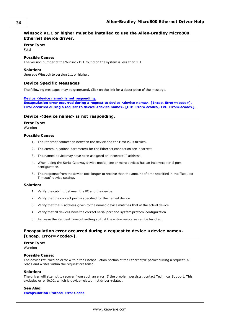### <span id="page-35-0"></span>**Winsock V1.1 or higher must be installed to use the Allen-Bradley Micro800 Ethernet device driver.**

### **Error Type:**

Fatal

### **Possible Cause:**

The version number of the Winsock DLL found on the system is less than 1.1.

### **Solution:**

<span id="page-35-1"></span>Upgrade Winsock to version 1.1 or higher.

### **Device Specific Messages**

The following messages may be generated. Click on the link for a description of the message.

#### **Device <device name> is not [responding.](#page-35-2)**

**Encapsulation error occurred during a request to device <device name>. [Encap. [Error=<code>\].](#page-35-3) Error [occurred](#page-36-0) during** a request to device <device name>. [CIP Error=<code>, Ext. [Error=<code>\].](#page-36-0)

### <span id="page-35-2"></span>**Device <device name> is not responding.**

### **Error Type:**

Warning

### **Possible Cause:**

- 1. The Ethernet connection between the device and the Host PC is broken.
- 2. The communications parameters for the Ethernet connection are incorrect.
- 3. The named device may have been assigned an incorrect IP address.
- 4. When using the Serial Gateway device model, one or more devices has an incorrect serial port configuration.
- 5. The response from the device took longer to receive than the amount of time specified in the "Request Timeout" device setting.

#### **Solution:**

- 1. Verify the cabling between the PC and the device.
- 2. Verify that the correct port is specified for the named device.
- 3. Verify that the IP address given to the named device matches that of the actual device.
- 4. Verify that all devices have the correct serial port and system protocol configuration.
- 5. Increase the Request Timeout setting so that the entire response can be handled.

### <span id="page-35-3"></span>**Encapsulation error occurred during a request to device <device name>.** [Encap. Error=<code>].

**Error Type:**

Warning

### **Possible Cause:**

The device returned an error within the Encapsulation portion of the Ethernet/IP packet during a request. All reads and writes within the request are failed.

#### **Solution:**

The driver will attempt to recover from such an error. If the problem persists, contact Technical Support. This excludes error 0x02, which is device-related, not driver-related.

#### **See Also:**

**[Encapsulation](#page-28-1) Protocol Error Codes**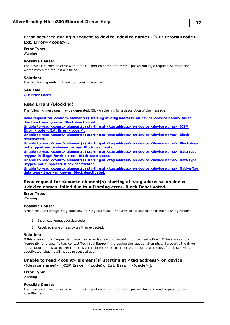### <span id="page-36-0"></span>**Error occurred** during a request to device <device name>. [CIP Error=<code>, **Ext. Error**=<code>1.

**Error Type:**

Warning

### **Possible Cause:**

The device returned an error within the CIP portion of the Ethernet/IP packet during a request. All reads and writes within the request are failed.

### **Solution:**

The solution depends on the error code(s) returned.

#### **See Also:**

<span id="page-36-1"></span>**CIP Error [Codes](#page-28-2)**

### **Read Errors (Blocking)**

The following messages may be generated. Click on the link for a description of the message.

**Read request for <count> [element\(s\)](#page-36-2) starting at <tag address> on device <device name> failed due to a framing error. Block [deactivated.](#page-36-2)**

**Unable to read <count> [element\(s\)](#page-36-3) starting at <tag address> on device <device name>. [CIP** Error=<code>, Ext. [Error=<code>\].](#page-36-3)

**Unable to read <count> [element\(s\)](#page-37-0) starting at <tag address> on device <device name>. Block [deactivated.](#page-37-0)**

**Unable to read <count> [element\(s\)](#page-37-1) starting at <tag address> on device <device name>. Block does not support [multi-element](#page-37-1) arrays. Block deactivated.**

**Unable to read <count> [element\(s\)](#page-37-2) starting at <tag address> on device <device name>. Data type <type> is illegal for this block. Block [deactivated.](#page-37-2)**

**Unable to read <count> [element\(s\)](#page-38-0) starting at <tag address> on device <device name>. Data type <type> not supported. Block [deactivated.](#page-38-0)**

**Unable to read <count> [element\(s\)](#page-38-1) starting at <tag address> on device <device name>. Native Tag data type <type> unknown. Block [deactivated.](#page-38-1)**

### <span id="page-36-2"></span>**Read request for <count> element(s) starting at <tag address> on device <device name> failed due to a framing error. Block Deactivated.**

**Error Type:** Warning

### **Possible Cause:**

A read request for tags <tag address> to <tag address>+<count> failed due to one of the following reasons:

- 1. Incorrect request service code.
- 2. Received more or less bytes than expected.

#### **Solution:**

If this error occurs frequently, there may be an issue with the cabling or the device itself. If the error occurs frequently for a specific tag, contact Technical Support. Increasing the request attempts will also give the driver more opportunities to recover from this error. In response to this error, <count> elements of the block will be deactivated; thus, it will not be processed again.

### <span id="page-36-3"></span>**Unable to read <count> element(s) starting at <tag address> on device <device name>. [CIP Error=<code>, Ext. Error=<code>].**

#### **Error Type:**

Warning

#### **Possible Cause:**

The device returned an error within the CIP portion of the Ethernet/IP packet during a read request for the specified tag.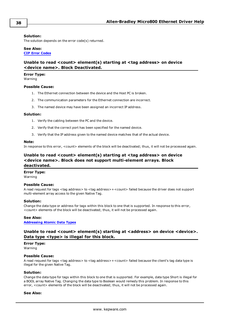### **Solution:**

The solution depends on the error code(s) returned.

# **See Also:**

### <span id="page-37-0"></span>**CIP Error [Codes](#page-28-2)**

### **Unable to read <count> element(s) starting at <tag address> on device <device name>. Block Deactivated.**

### **Error Type:**

Warning

### **Possible Cause:**

- 1. The Ethernet connection between the device and the Host PC is broken.
- 2. The communication parameters for the Ethernet connection are incorrect.
- 3. The named device may have been assigned an incorrect IP address.

### **Solution:**

- 1. Verify the cabling between the PC and the device.
- 2. Verify that the correct port has been specified for the named device.
- 3. Verify that the IP address given to the named device matches that of the actual device.

### **Note:**

<span id="page-37-1"></span>In response to this error, <count> elements of the block will be deactivated; thus, it will not be processed again.

### **Unable to read <count> element(s) starting at <tag address> on device <device name>. Block does not support multi-element arrays. Block deactivated.**

#### **Error Type:**

Warning

#### **Possible Cause:**

A read request for tags <tag address> to <tag address>+<count> failed because the driver does not support multi-element array access to the given Native Tag.

#### **Solution:**

Change the data type or address for tags within this block to one that is supported. In response to this error, <count> elements of the block will be deactivated; thus, it will not be processed again.

### **See Also: [Addressing](#page-13-0) Atomic Data Types**

### <span id="page-37-2"></span>**Unable to read <count> element(s) starting at <address> on device <device>. Data type <type> is illegal for this block.**

**Error Type:**

### Warning

### **Possible Cause:**

A read request for tags <tag address> to <tag address>+<count> failed because the client's tag data type is illegal for the given Native Tag.

### **Solution:**

Change the data type for tags within this block to one that is supported. For example, data type Short is illegal for a BOOL array Native Tag. Changing the data type to Boolean would remedy this problem. In response to this error, <count> elements of the block will be deactivated; thus, it will not be processed again.

### **See Also:**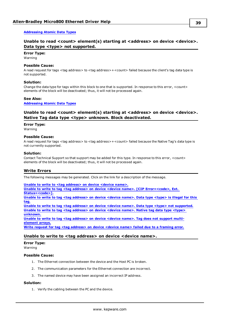### <span id="page-38-0"></span>**[Addressing](#page-13-0) Atomic Data Types**

### **Unable to read <count> element(s) starting at <address> on device <device>. Data type <type> not supported.**

### **Error Type:**

Warning

### **Possible Cause:**

A read request for tags <tag address> to <tag address>+<count> failed because the client's tag data type is not supported.

#### **Solution:**

Change the data type for tags within this block to one that is supported. In response to this error, <count> elements of the block will be deactivated; thus, it will not be processed again.

#### **See Also:**

<span id="page-38-1"></span>**[Addressing](#page-13-0) Atomic Data Types**

### **Unable to read <count> element(s) starting at <address> on device <device>. Native Tag data type <type> unknown. Block deactivated.**

#### **Error Type:**

Warning

#### **Possible Cause:**

A read request for tags <tag address> to <tag address>+<count> failed because the Native Tag's data type is not currently supported.

#### **Solution:**

Contact Technical Support so that support may be added for this type. In response to this error, <count> elements of the block will be deactivated; thus, it will not be processed again.

### <span id="page-38-2"></span>**Write Errors**

The following messages may be generated. Click on the link for a description of the message.

#### **Unable to write to <tag [address>](#page-38-3) on device <device name>.**

**Unable to write to tag <tag address> on device <device name>. [CIP [Error=<code>,](#page-39-0) Ext.** [Status=<code>\].](#page-39-0) **Unable to write to tag <tag [address>](#page-39-1) on device <device name>. Data type <type> is illegal for this [tag.](#page-39-1)**

**Unable to write to tag <tag address> on device <device name>. Data type <type> not [supported.](#page-39-2) Unable to write to tag <tag [address>](#page-39-3) on device <device name>. Native tag data type <type> [unknown.](#page-39-3) Unable to write to tag <tag [address>](#page-40-0) on device <device name>. Tag does not support multi-**

**[element](#page-40-0) arrays.**

<span id="page-38-3"></span>**Write request for tag <tag [address>](#page-40-1) on device <device name> failed due to a framing error.**

### **Unable to write to <tag address> on device <device name>.**

**Error Type:**

Warning

#### **Possible Cause:**

- 1. The Ethernet connection between the device and the Host PC is broken.
- 2. The communication parameters for the Ethernet connection are incorrect.
- 3. The named device may have been assigned an incorrect IP address.

### **Solution:**

1. Verify the cabling between the PC and the device.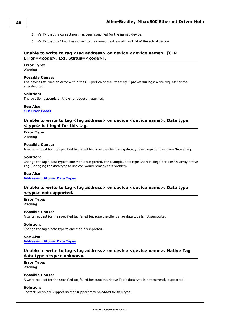- 2. Verify that the correct port has been specified for the named device.
- 3. Verify that the IP address given to the named device matches that of the actual device.

### <span id="page-39-0"></span>**Unable to write to tag <tag address> on device <device name>. [CIP** Error=<code>, Ext. Status=<code>].

### **Error Type:**

Warning

### **Possible Cause:**

The device returned an error within the CIP portion of the Ethernet/IP packet during a write request for the specified tag.

### **Solution:**

The solution depends on the error code(s) returned.

### **See Also:**

### <span id="page-39-1"></span>**CIP Error [Codes](#page-28-2)**

### **Unable to write to tag <tag address> on device <device name>. Data type <type> is illegal for this tag.**

### **Error Type:**

Warning

### **Possible Cause:**

A write request for the specified tag failed because the client's tag data type is illegal for the given Native Tag.

### **Solution:**

Change the tag's data type to one that is supported. For example, data type Short is illegal for a BOOL array Native Tag. Changing the data type to Boolean would remedy this problem.

### **See Also:**

<span id="page-39-2"></span>**[Addressing](#page-13-0) Atomic Data Types**

### **Unable to write to tag <tag address> on device <device name>. Data type <type> not supported.**

**Error Type:** Warning

### **Possible Cause:**

A write request for the specified tag failed because the client's tag data type is not supported.

### **Solution:**

Change the tag's data type to one that is supported.

### **See Also: [Addressing](#page-13-0) Atomic Data Types**

### <span id="page-39-3"></span>**Unable to write to tag <tag address> on device <device name>. Native Tag data type <type> unknown.**

### **Error Type:**

Warning

### **Possible Cause:**

A write request for the specified tag failed because the Native Tag's data type is not currently supported.

### **Solution:**

Contact Technical Support so that support may be added for this type.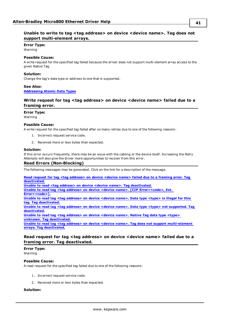### <span id="page-40-0"></span>**Unable to write to tag <tag address> on device <device name>. Tag does not support multi-element arrays.**

### **Error Type:**

Warning

### **Possible Cause:**

A write request for the specified tag failed because the driver does not support multi-element array access to the given Native Tag.

### **Solution:**

Change the tag's data type or address to one that is supported.

#### **See Also:**

<span id="page-40-1"></span>**[Addressing](#page-13-0) Atomic Data Types**

### **Write request for tag <tag address> on device <device name> failed due to a framing error.**

#### **Error Type:**

Warning

### **Possible Cause:**

A write request for the specified tag failed after so many retries due to one of the following reasons:

- 1. Incorrect request service code.
- 2. Received more or less bytes than expected.

#### **Solution:**

<span id="page-40-2"></span>If this error occurs frequently, there may be an issue with the cabling or the device itself. Increasing the Retry Attempts will also give the driver more opportunities to recover from this error.

### **Read Errors (Non-Blocking)**

The following messages may be generated. Click on the link for a description of the message.

**Read request for tag <tag [address>](#page-40-3) on device <device name> failed due to a framing error. Tag [deactivated.](#page-40-3) Unable to read <tag address> on device <device name>. Tag [deactivated.](#page-41-0) Unable to read tag <tag address> on device <device name>. [CIP [Error=<code>,](#page-41-1) Ext.** [Error=<code>\].](#page-41-1) **Unable to read tag <tag [address>](#page-41-2) on device <device name>. Data type <type> is illegal for this tag. Tag [deactivated.](#page-41-2) Unable to read tag <tag address> on device <device name>. Data type <type> not [supported.](#page-41-3) Tag [deactivated.](#page-41-3) Unable to read tag <tag [address>](#page-42-0) on device <device name>. Native Tag data type <type> unknown. Tag [deactivated.](#page-42-0) Unable to read tag <tag address> on device <device name>. Tag does not support [multi-element](#page-42-1) arrays. Tag [deactivated.](#page-42-1)**

### <span id="page-40-3"></span>**Read request for tag <tag address> on device <device name> failed due to a framing error. Tag deactivated.**

#### **Error Type:** Warning

### **Possible Cause:**

A read request for the specified tag failed due to one of the following reasons:

- 1. Incorrect request service code.
- 2. Received more or less bytes than expected.

### **Solution:**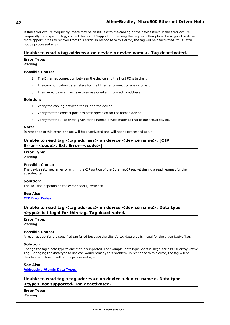If this error occurs frequently, there may be an issue with the cabling or the device itself. If the error occurs frequently for a specific tag, contact Technical Support. Increasing the request attempts will also give the driver more opportunities to recover from this error. In response to this error, the tag will be deactivated; thus, it will not be processed again.

### <span id="page-41-0"></span>**Unable to read <tag address> on device <device name>. Tag deactivated.**

### **Error Type:**

Warning

### **Possible Cause:**

- 1. The Ethernet connection between the device and the Host PC is broken.
- 2. The communication parameters for the Ethernet connection are incorrect.
- 3. The named device may have been assigned an incorrect IP address.

### **Solution:**

- 1. Verify the cabling between the PC and the device.
- 2. Verify that the correct port has been specified for the named device.
- 3. Verify that the IP address given to the named device matches that of the actual device.

### **Note:**

<span id="page-41-1"></span>In response to this error, the tag will be deactivated and will not be processed again.

### **Unable to read tag <tag address> on device <device name>. [CIP** Error=<code>, Ext. Error=<code>].

### **Error Type:**

Warning

### **Possible Cause:**

The device returned an error within the CIP portion of the Ethernet/IP packet during a read request for the specified tag.

### **Solution:**

The solution depends on the error code(s) returned.

### **See Also: CIP Error [Codes](#page-28-2)**

### <span id="page-41-2"></span>**Unable to read tag <tag address> on device <device name>. Data type <type> is illegal for this tag. Tag deactivated.**

### **Error Type:**

Warning

### **Possible Cause:**

A read request for the specified tag failed because the client's tag data type is illegal for the given Native Tag.

### **Solution:**

Change the tag's data type to one that is supported. For example, data type Short is illegal for a BOOL array Native Tag. Changing the data type to Boolean would remedy this problem. In response to this error, the tag will be deactivated; thus, it will not be processed again.

### **See Also:**

<span id="page-41-3"></span>**[Addressing](#page-13-0) Atomic Data Types**

### **Unable to read tag <tag address> on device <device name>. Data type <type> not supported. Tag deactivated.**

**Error Type:** Warning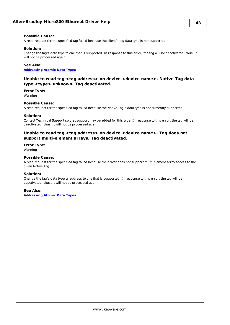### **Possible Cause:**

A read request for the specified tag failed because the client's tag data type is not supported.

### **Solution:**

Change the tag's data type to one that is supported. In response to this error, the tag will be deactivated; thus, it will not be processed again.

### **See Also:**

<span id="page-42-0"></span>**[Addressing](#page-13-0) Atomic Data Types**

### **Unable to read tag <tag address> on device <device name>. Native Tag data type <type> unknown. Tag deactivated.**

#### **Error Type:**

Warning

### **Possible Cause:**

A read request for the specified tag failed because the Native Tag's data type is not currently supported.

#### **Solution:**

Contact Technical Support so that support may be added for this type. In response to this error, the tag will be deactivated; thus, it will not be processed again.

### <span id="page-42-1"></span>**Unable to read tag <tag address> on device <device name>. Tag does not support multi-element arrays. Tag deactivated.**

### **Error Type:**

Warning

### **Possible Cause:**

A read request for the specified tag failed because the driver does not support multi-element array access to the given Native Tag.

#### **Solution:**

Change the tag's data type or address to one that is supported. In response to this error, the tag will be deactivated; thus, it will not be processed again.

#### **See Also:**

**[Addressing](#page-13-0) Atomic Data Types**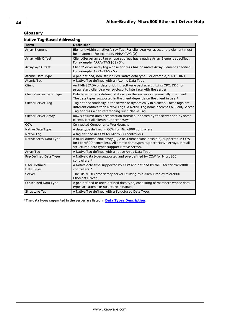### <span id="page-43-0"></span>**Glossary**

| <b>Native Tag-Based Addressing</b> |                                                                                                                                                                                                                    |  |  |
|------------------------------------|--------------------------------------------------------------------------------------------------------------------------------------------------------------------------------------------------------------------|--|--|
| <b>Term</b>                        | <b>Definition</b>                                                                                                                                                                                                  |  |  |
| <b>Array Element</b>               | Element within a native Array Tag. For client/server access, the element must<br>be an atomic. For example, ARRAYTAG [0].                                                                                          |  |  |
| Array with Offset                  | Client/Server array tag whose address has a native Array Element specified.<br>For example, ARRAYTAG [0] {5}.                                                                                                      |  |  |
| Array w/o Offset                   | Client/Server array tag whose address has no native Array Element specified.<br>For example, ARRAYTAG {5}.                                                                                                         |  |  |
| Atomic Data Type                   | A pre-defined, non-structured Native data type. For example, SINT, DINT.                                                                                                                                           |  |  |
| <b>Atomic Tag</b>                  | A Native Tag defined with an Atomic Data Type.                                                                                                                                                                     |  |  |
| Client                             | An HMI/SCADA or data bridging software package utilizing OPC, DDE, or<br>proprietary client/server protocol to interface with the server.                                                                          |  |  |
| Client/Server Data Type            | Data type for tags defined statically in the server or dynamically in a client.<br>The data types supported in the client depends on the client in use.*                                                           |  |  |
| Client/Server Tag                  | Tag defined statically in the server or dynamically in a client. These tags are<br>different entities than Native Tags. A Native Tag name becomes a Client/Server<br>Tag address when referencing such Native Tag. |  |  |
| Client/Server Array                | Row x column data presentation format supported by the server and by some<br>clients. Not all clients support arrays.                                                                                              |  |  |
| <b>CCW</b>                         | Connected Components Workbench.                                                                                                                                                                                    |  |  |
| Native Data Type                   | A data type defined in CCW for Micro800 controllers.                                                                                                                                                               |  |  |
| Native Tag                         | A tag defined in CCW for Micro800 controllers.                                                                                                                                                                     |  |  |
| Native Array Data Type             | A multi-dimensional array (1, 2 or 3 dimensions possible) supported in CCW<br>for Micro800 controllers. All atomic data types support Native Arrays. Not all<br>structured data types support Native Arrays.       |  |  |
| Array Tag                          | A Native Tag defined with a native Array Data Type.                                                                                                                                                                |  |  |
| Pre-Defined Data Type              | A Native data type supported and pre-defined by CCW for Micro800<br>controllers.*                                                                                                                                  |  |  |
| User-Defined                       | A Native data type supported by CCW and defined by the user for Micro800                                                                                                                                           |  |  |
| Data Type                          | controllers.*                                                                                                                                                                                                      |  |  |
| Server                             | The OPC/DDE/proprietary server utilizing this Allen-Bradley Micro800<br>Ethernet Driver.                                                                                                                           |  |  |
| <b>Structured Data Type</b>        | A pre-defined or user-defined data type, consisting of members whose data<br>types are atomic or structure in nature.                                                                                              |  |  |
| <b>Structure Tag</b>               | A Native Tag defined with a Structured Data Type.                                                                                                                                                                  |  |  |

\*The data types supported in the server are listed in **Data Types [Description](#page-10-0)**.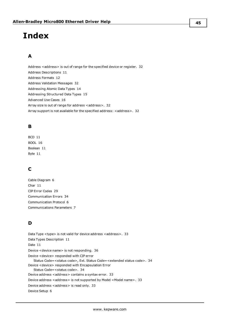# <span id="page-44-0"></span>**Index**

# **A**

Address <address> is out of range for the specified device or register. [32](#page-31-2) Address Descriptions [11](#page-10-1) Address Formats [12](#page-11-0) Address Validation Messages [32](#page-31-1) Addressing Atomic Data Types [14](#page-13-0) Addressing Structured Data Types [15](#page-14-0) Advanced Use Cases [16](#page-15-0) Array size is out of range for address <address>. [32](#page-31-3) Array support is not available for the specified address: <address>. [32](#page-31-4)

# **B**

BCD [11](#page-10-2) BOOL [16](#page-15-1) Boolean [11](#page-10-3) Byte [11](#page-10-4)

# **C**

Cable Diagram [6](#page-5-1) Char [11](#page-10-5) CIP Error Codes [29](#page-28-2) Communication Errors [34](#page-33-2) Communication Protocol [6](#page-5-2) Communications Parameters [7](#page-6-0)

# **D**

Data Type <type> is not valid for device address <address>. [33](#page-32-0) Data Types Description [11](#page-10-0) Date [11](#page-10-6) Device <device name> is not responding. [36](#page-35-2) Device <device> responded with CIP error Status Code=<status code>, Ext. Status Code=<extended status code>. [34](#page-33-3) Device <device> responded with Encapsulation Error Status Code=<status code>. [34](#page-33-4) Device address <address> contains a syntax error. [33](#page-32-1) Device address <address> is not supported by Model <Model name>. [33](#page-32-2) Device address <address> is read only. [33](#page-32-3) Device Setup [6](#page-5-0)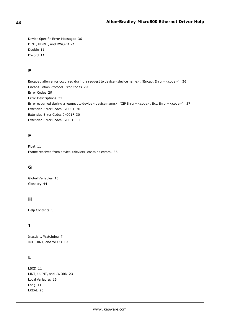Device Specific Error Messages [36](#page-35-1) DINT, UDINT, and DWORD [21](#page-20-0) Double [11](#page-10-7) DWord [11](#page-10-8)

# **E**

Encapsulation error occurred during a request to device <device name>. [Encap. Error=<code>]. [36](#page-35-3) Encapsulation Protocol Error Codes [29](#page-28-1) Error Codes [29](#page-28-0) Error Descriptions [32](#page-31-0) Error occurred during a request to device <device name>. [CIP Error=<code>, Ext. Error=<code>]. [37](#page-36-0) Extended Error Codes 0x0001 [30](#page-29-0) Extended Error Codes 0x001F [30](#page-29-1) Extended Error Codes 0x00FF [30](#page-29-2)

# **F**

Float [11](#page-10-9) Frame received from device <device> contains errors. [35](#page-34-0)

# **G**

Global Variables [13](#page-12-1) Glossary [44](#page-43-0)

# **H**

Help Contents [5](#page-4-1)

# **I**

Inactivity Watchdog [7](#page-6-1) INT, UINT, and WORD [19](#page-18-0)

# **L**

LBCD [11](#page-10-10) LINT, ULINT, and LWORD [23](#page-22-0) Local Variables [13](#page-12-2) Long [11](#page-10-11) LREAL [26](#page-25-0)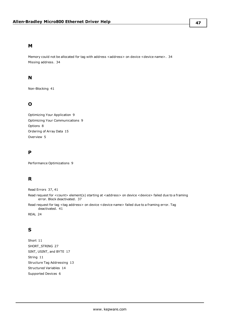### **M**

Memory could not be allocated for tag with address <address> on device <device name>. [34](#page-33-0) Missing address. [34](#page-33-1)

## **N**

Non-Blocking [41](#page-40-2)

# **O**

Optimizing Your Application [9](#page-8-2) Optimizing Your Communications [9](#page-8-1) Options [8](#page-7-0) Ordering of Array Data [15](#page-14-1) Overview [5](#page-4-0)

# **P**

Performance Optimizations [9](#page-8-0)

# **R**

Read Errors [37](#page-36-1), [41](#page-40-2)

Read request for <count> element(s) starting at <address> on device <device> failed due to a framing error. Block deactivated. [37](#page-36-2)

Read request for tag <tag address> on device <device name> failed due to a framing error. Tag deactivated. [41](#page-40-3)

REAL [24](#page-23-0)

# **S**

Short [11](#page-10-12) SHORT\_STRING [27](#page-26-0) SINT, USINT, and BYTE [17](#page-16-0) String [11](#page-10-13) Structure Tag Addressing [13](#page-12-0) Structured Variables [14](#page-13-1) Supported Devices [6](#page-5-3)